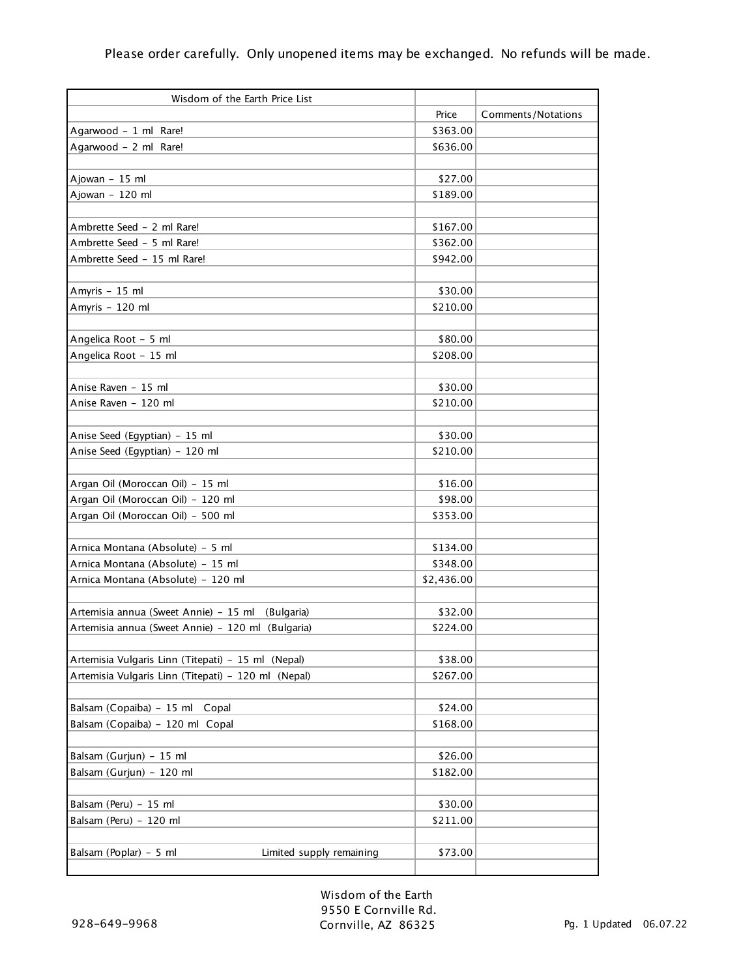| Wisdom of the Earth Price List                      |            |                    |
|-----------------------------------------------------|------------|--------------------|
|                                                     | Price      | Comments/Notations |
| Agarwood - 1 ml Rare!                               | \$363.00   |                    |
| Agarwood - 2 ml Rare!                               | \$636.00   |                    |
|                                                     |            |                    |
| Ajowan - 15 ml                                      | \$27.00    |                    |
| Ajowan - 120 ml                                     | \$189.00   |                    |
|                                                     |            |                    |
| Ambrette Seed - 2 ml Rare!                          | \$167.00   |                    |
| Ambrette Seed - 5 ml Rare!                          | \$362.00   |                    |
| Ambrette Seed - 15 ml Rare!                         | \$942.00   |                    |
|                                                     |            |                    |
| Amyris - 15 ml                                      | \$30.00    |                    |
| Amyris - 120 ml                                     | \$210.00   |                    |
|                                                     |            |                    |
| Angelica Root - 5 ml                                | \$80.00    |                    |
| Angelica Root - 15 ml                               | \$208.00   |                    |
|                                                     |            |                    |
| Anise Raven - 15 ml                                 | \$30.00    |                    |
| Anise Raven - 120 ml                                | \$210.00   |                    |
|                                                     |            |                    |
| Anise Seed (Egyptian) - 15 ml                       | \$30.00    |                    |
| Anise Seed (Egyptian) - 120 ml                      | \$210.00   |                    |
|                                                     |            |                    |
| Argan Oil (Moroccan Oil) - 15 ml                    | \$16.00    |                    |
| Argan Oil (Moroccan Oil) - 120 ml                   | \$98.00    |                    |
| Argan Oil (Moroccan Oil) - 500 ml                   | \$353.00   |                    |
|                                                     |            |                    |
| Arnica Montana (Absolute) - 5 ml                    | \$134.00   |                    |
| Arnica Montana (Absolute) - 15 ml                   | \$348.00   |                    |
| Arnica Montana (Absolute) - 120 ml                  | \$2,436.00 |                    |
|                                                     |            |                    |
| Artemisia annua (Sweet Annie) - 15 ml<br>(Bulgaria) | \$32.00    |                    |
| Artemisia annua (Sweet Annie) - 120 ml (Bulgaria)   | \$224.00   |                    |
|                                                     |            |                    |
| Artemisia Vulgaris Linn (Titepati) - 15 ml (Nepal)  | \$38.00    |                    |
| Artemisia Vulgaris Linn (Titepati) - 120 ml (Nepal) | \$267.00   |                    |
|                                                     |            |                    |
| Balsam (Copaiba) - 15 ml Copal                      | \$24.00    |                    |
| Balsam (Copaiba) - 120 ml Copal                     | \$168.00   |                    |
|                                                     |            |                    |
| Balsam (Gurjun) - 15 ml                             | \$26.00    |                    |
| Balsam (Gurjun) - 120 ml                            | \$182.00   |                    |
|                                                     |            |                    |
| Balsam (Peru) - 15 ml                               | \$30.00    |                    |
| Balsam (Peru) - 120 ml                              | \$211.00   |                    |
|                                                     |            |                    |
| Balsam (Poplar) - 5 ml<br>Limited supply remaining  | \$73.00    |                    |
|                                                     |            |                    |

Wisdom of the Earth 9550 E Cornville Rd. Cornville, AZ 86325 Pg. 1 Updated 06.07.22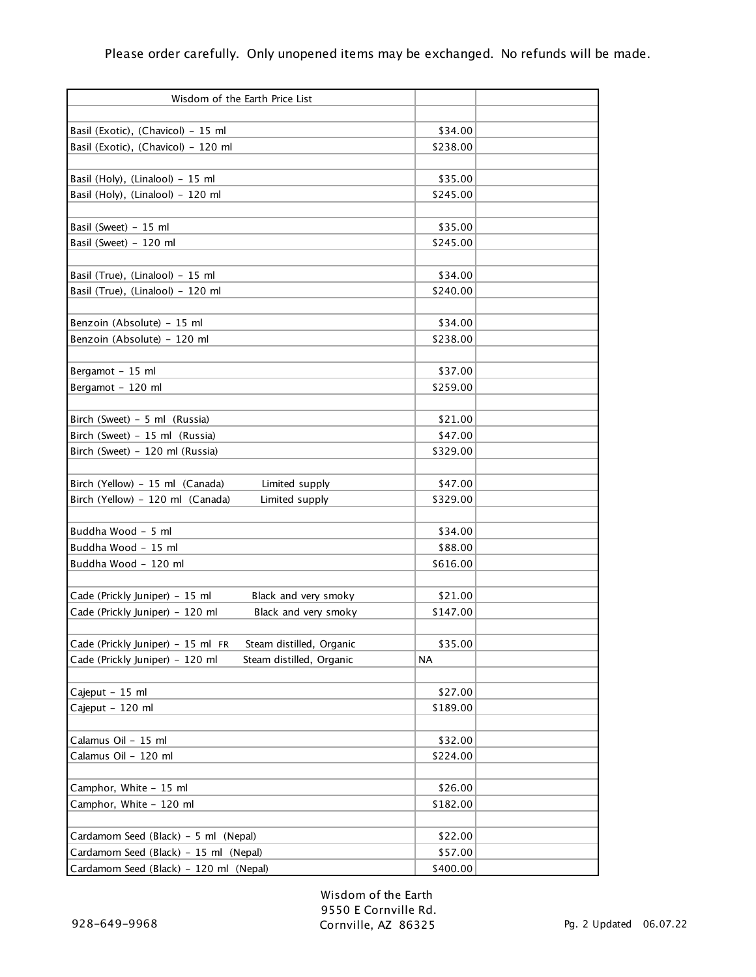| Wisdom of the Earth Price List                                |                     |  |
|---------------------------------------------------------------|---------------------|--|
|                                                               |                     |  |
| Basil (Exotic), (Chavicol) - 15 ml                            | \$34.00             |  |
| Basil (Exotic), (Chavicol) - 120 ml                           | \$238.00            |  |
|                                                               |                     |  |
| Basil (Holy), (Linalool) - 15 ml                              | \$35.00             |  |
| Basil (Holy), (Linalool) - 120 ml                             | \$245.00            |  |
|                                                               |                     |  |
| Basil (Sweet) - 15 ml                                         | \$35.00             |  |
| Basil (Sweet) - 120 ml                                        | \$245.00            |  |
|                                                               |                     |  |
| Basil (True), (Linalool) - 15 ml                              | \$34.00<br>\$240.00 |  |
| Basil (True), (Linalool) - 120 ml                             |                     |  |
|                                                               | \$34.00             |  |
| Benzoin (Absolute) - 15 ml<br>Benzoin (Absolute) - 120 ml     | \$238.00            |  |
|                                                               |                     |  |
| Bergamot - 15 ml                                              | \$37.00             |  |
| Bergamot - 120 ml                                             | \$259.00            |  |
|                                                               |                     |  |
| Birch (Sweet) - 5 ml (Russia)                                 | \$21.00             |  |
| Birch (Sweet) - 15 ml (Russia)                                | \$47.00             |  |
| Birch (Sweet) - 120 ml (Russia)                               | \$329.00            |  |
|                                                               |                     |  |
| Birch (Yellow) - 15 ml (Canada)<br>Limited supply             | \$47.00             |  |
| Birch (Yellow) - 120 ml (Canada)<br>Limited supply            | \$329.00            |  |
|                                                               |                     |  |
| Buddha Wood - 5 ml                                            | \$34.00             |  |
| Buddha Wood - 15 ml                                           | \$88.00             |  |
| Buddha Wood - 120 ml                                          | \$616.00            |  |
|                                                               |                     |  |
| Cade (Prickly Juniper) - 15 ml<br>Black and very smoky        | \$21.00             |  |
| Cade (Prickly Juniper) - 120 ml<br>Black and very smoky       | \$147.00            |  |
|                                                               |                     |  |
| Cade (Prickly Juniper) - 15 ml FR<br>Steam distilled, Organic | \$35.00             |  |
| Cade (Prickly Juniper) - 120 ml<br>Steam distilled, Organic   | NA                  |  |
|                                                               |                     |  |
| Cajeput - 15 ml                                               | \$27.00             |  |
| Cajeput - 120 ml                                              | \$189.00            |  |
|                                                               |                     |  |
| Calamus Oil - 15 ml                                           | \$32.00             |  |
| Calamus Oil - 120 ml                                          | \$224.00            |  |
|                                                               |                     |  |
| Camphor, White - 15 ml                                        | \$26.00             |  |
| Camphor, White - 120 ml                                       | \$182.00            |  |
|                                                               |                     |  |
| Cardamom Seed (Black) - 5 ml (Nepal)                          | \$22.00             |  |
| Cardamom Seed (Black) - 15 ml (Nepal)                         | \$57.00             |  |
| Cardamom Seed (Black) - 120 ml (Nepal)                        | \$400.00            |  |

Wisdom of the Earth 9550 E Cornville Rd. Cornville, AZ 86325 Pg. 2 Updated 06.07.22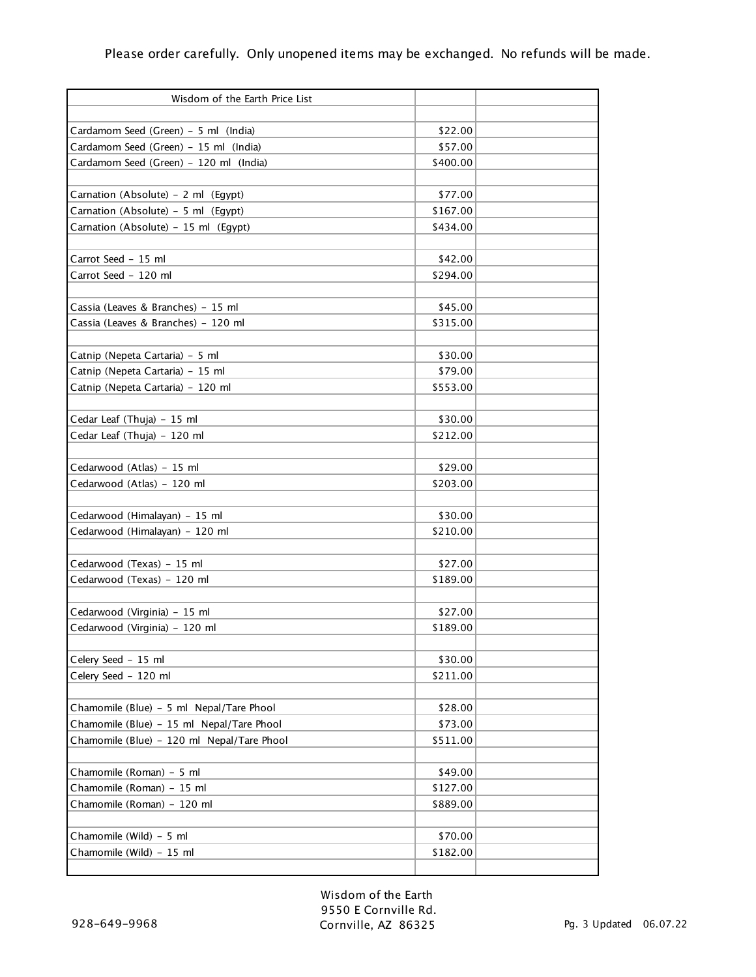| Wisdom of the Earth Price List<br>Cardamom Seed (Green) - 5 ml (India)<br>\$22.00<br>Cardamom Seed (Green) - 15 ml (India)<br>\$57.00<br>Cardamom Seed (Green) - 120 ml (India)<br>\$400.00<br>Carnation (Absolute) - 2 ml (Egypt)<br>\$77.00<br>Carnation (Absolute) - 5 ml (Egypt)<br>\$167.00<br>Carnation (Absolute) - 15 ml (Egypt)<br>\$434.00<br>Carrot Seed - 15 ml<br>\$42.00<br>Carrot Seed - 120 ml<br>\$294.00<br>Cassia (Leaves & Branches) - 15 ml<br>\$45.00<br>Cassia (Leaves & Branches) - 120 ml<br>\$315.00<br>\$30.00<br>Catnip (Nepeta Cartaria) - 5 ml<br>Catnip (Nepeta Cartaria) - 15 ml<br>\$79.00<br>Catnip (Nepeta Cartaria) - 120 ml<br>\$553.00<br>Cedar Leaf (Thuja) - 15 ml<br>\$30.00<br>Cedar Leaf (Thuja) - 120 ml<br>\$212.00<br>Cedarwood (Atlas) - 15 ml<br>\$29.00<br>Cedarwood (Atlas) - 120 ml<br>\$203.00<br>Cedarwood (Himalayan) - 15 ml<br>\$30.00<br>Cedarwood (Himalayan) - 120 ml<br>\$210.00<br>Cedarwood (Texas) - 15 ml<br>\$27.00<br>Cedarwood (Texas) - 120 ml<br>\$189.00<br>Cedarwood (Virginia) - 15 ml<br>\$27.00<br>Cedarwood (Virginia) - 120 ml<br>\$189.00<br>Celery Seed - 15 ml<br>\$30.00<br>Celery Seed - 120 ml<br>\$211.00<br>Chamomile (Blue) - 5 ml Nepal/Tare Phool<br>\$28.00<br>Chamomile (Blue) - 15 ml Nepal/Tare Phool<br>\$73.00<br>Chamomile (Blue) - 120 ml Nepal/Tare Phool<br>\$511.00<br>Chamomile (Roman) - 5 ml<br>\$49.00<br>Chamomile (Roman) - 15 ml<br>\$127.00<br>Chamomile (Roman) - 120 ml<br>\$889.00<br>Chamomile (Wild) - 5 ml<br>\$70.00<br>Chamomile (Wild) - 15 ml<br>\$182.00 |  |  |
|-------------------------------------------------------------------------------------------------------------------------------------------------------------------------------------------------------------------------------------------------------------------------------------------------------------------------------------------------------------------------------------------------------------------------------------------------------------------------------------------------------------------------------------------------------------------------------------------------------------------------------------------------------------------------------------------------------------------------------------------------------------------------------------------------------------------------------------------------------------------------------------------------------------------------------------------------------------------------------------------------------------------------------------------------------------------------------------------------------------------------------------------------------------------------------------------------------------------------------------------------------------------------------------------------------------------------------------------------------------------------------------------------------------------------------------------------------------------------------------------------------------------------------------------------------------------------------|--|--|
|                                                                                                                                                                                                                                                                                                                                                                                                                                                                                                                                                                                                                                                                                                                                                                                                                                                                                                                                                                                                                                                                                                                                                                                                                                                                                                                                                                                                                                                                                                                                                                               |  |  |
|                                                                                                                                                                                                                                                                                                                                                                                                                                                                                                                                                                                                                                                                                                                                                                                                                                                                                                                                                                                                                                                                                                                                                                                                                                                                                                                                                                                                                                                                                                                                                                               |  |  |
|                                                                                                                                                                                                                                                                                                                                                                                                                                                                                                                                                                                                                                                                                                                                                                                                                                                                                                                                                                                                                                                                                                                                                                                                                                                                                                                                                                                                                                                                                                                                                                               |  |  |
|                                                                                                                                                                                                                                                                                                                                                                                                                                                                                                                                                                                                                                                                                                                                                                                                                                                                                                                                                                                                                                                                                                                                                                                                                                                                                                                                                                                                                                                                                                                                                                               |  |  |
|                                                                                                                                                                                                                                                                                                                                                                                                                                                                                                                                                                                                                                                                                                                                                                                                                                                                                                                                                                                                                                                                                                                                                                                                                                                                                                                                                                                                                                                                                                                                                                               |  |  |
|                                                                                                                                                                                                                                                                                                                                                                                                                                                                                                                                                                                                                                                                                                                                                                                                                                                                                                                                                                                                                                                                                                                                                                                                                                                                                                                                                                                                                                                                                                                                                                               |  |  |
|                                                                                                                                                                                                                                                                                                                                                                                                                                                                                                                                                                                                                                                                                                                                                                                                                                                                                                                                                                                                                                                                                                                                                                                                                                                                                                                                                                                                                                                                                                                                                                               |  |  |
|                                                                                                                                                                                                                                                                                                                                                                                                                                                                                                                                                                                                                                                                                                                                                                                                                                                                                                                                                                                                                                                                                                                                                                                                                                                                                                                                                                                                                                                                                                                                                                               |  |  |
|                                                                                                                                                                                                                                                                                                                                                                                                                                                                                                                                                                                                                                                                                                                                                                                                                                                                                                                                                                                                                                                                                                                                                                                                                                                                                                                                                                                                                                                                                                                                                                               |  |  |
|                                                                                                                                                                                                                                                                                                                                                                                                                                                                                                                                                                                                                                                                                                                                                                                                                                                                                                                                                                                                                                                                                                                                                                                                                                                                                                                                                                                                                                                                                                                                                                               |  |  |
|                                                                                                                                                                                                                                                                                                                                                                                                                                                                                                                                                                                                                                                                                                                                                                                                                                                                                                                                                                                                                                                                                                                                                                                                                                                                                                                                                                                                                                                                                                                                                                               |  |  |
|                                                                                                                                                                                                                                                                                                                                                                                                                                                                                                                                                                                                                                                                                                                                                                                                                                                                                                                                                                                                                                                                                                                                                                                                                                                                                                                                                                                                                                                                                                                                                                               |  |  |
|                                                                                                                                                                                                                                                                                                                                                                                                                                                                                                                                                                                                                                                                                                                                                                                                                                                                                                                                                                                                                                                                                                                                                                                                                                                                                                                                                                                                                                                                                                                                                                               |  |  |
|                                                                                                                                                                                                                                                                                                                                                                                                                                                                                                                                                                                                                                                                                                                                                                                                                                                                                                                                                                                                                                                                                                                                                                                                                                                                                                                                                                                                                                                                                                                                                                               |  |  |
|                                                                                                                                                                                                                                                                                                                                                                                                                                                                                                                                                                                                                                                                                                                                                                                                                                                                                                                                                                                                                                                                                                                                                                                                                                                                                                                                                                                                                                                                                                                                                                               |  |  |
|                                                                                                                                                                                                                                                                                                                                                                                                                                                                                                                                                                                                                                                                                                                                                                                                                                                                                                                                                                                                                                                                                                                                                                                                                                                                                                                                                                                                                                                                                                                                                                               |  |  |
|                                                                                                                                                                                                                                                                                                                                                                                                                                                                                                                                                                                                                                                                                                                                                                                                                                                                                                                                                                                                                                                                                                                                                                                                                                                                                                                                                                                                                                                                                                                                                                               |  |  |
|                                                                                                                                                                                                                                                                                                                                                                                                                                                                                                                                                                                                                                                                                                                                                                                                                                                                                                                                                                                                                                                                                                                                                                                                                                                                                                                                                                                                                                                                                                                                                                               |  |  |
|                                                                                                                                                                                                                                                                                                                                                                                                                                                                                                                                                                                                                                                                                                                                                                                                                                                                                                                                                                                                                                                                                                                                                                                                                                                                                                                                                                                                                                                                                                                                                                               |  |  |
|                                                                                                                                                                                                                                                                                                                                                                                                                                                                                                                                                                                                                                                                                                                                                                                                                                                                                                                                                                                                                                                                                                                                                                                                                                                                                                                                                                                                                                                                                                                                                                               |  |  |
|                                                                                                                                                                                                                                                                                                                                                                                                                                                                                                                                                                                                                                                                                                                                                                                                                                                                                                                                                                                                                                                                                                                                                                                                                                                                                                                                                                                                                                                                                                                                                                               |  |  |
|                                                                                                                                                                                                                                                                                                                                                                                                                                                                                                                                                                                                                                                                                                                                                                                                                                                                                                                                                                                                                                                                                                                                                                                                                                                                                                                                                                                                                                                                                                                                                                               |  |  |
|                                                                                                                                                                                                                                                                                                                                                                                                                                                                                                                                                                                                                                                                                                                                                                                                                                                                                                                                                                                                                                                                                                                                                                                                                                                                                                                                                                                                                                                                                                                                                                               |  |  |
|                                                                                                                                                                                                                                                                                                                                                                                                                                                                                                                                                                                                                                                                                                                                                                                                                                                                                                                                                                                                                                                                                                                                                                                                                                                                                                                                                                                                                                                                                                                                                                               |  |  |
|                                                                                                                                                                                                                                                                                                                                                                                                                                                                                                                                                                                                                                                                                                                                                                                                                                                                                                                                                                                                                                                                                                                                                                                                                                                                                                                                                                                                                                                                                                                                                                               |  |  |
|                                                                                                                                                                                                                                                                                                                                                                                                                                                                                                                                                                                                                                                                                                                                                                                                                                                                                                                                                                                                                                                                                                                                                                                                                                                                                                                                                                                                                                                                                                                                                                               |  |  |
|                                                                                                                                                                                                                                                                                                                                                                                                                                                                                                                                                                                                                                                                                                                                                                                                                                                                                                                                                                                                                                                                                                                                                                                                                                                                                                                                                                                                                                                                                                                                                                               |  |  |
|                                                                                                                                                                                                                                                                                                                                                                                                                                                                                                                                                                                                                                                                                                                                                                                                                                                                                                                                                                                                                                                                                                                                                                                                                                                                                                                                                                                                                                                                                                                                                                               |  |  |
|                                                                                                                                                                                                                                                                                                                                                                                                                                                                                                                                                                                                                                                                                                                                                                                                                                                                                                                                                                                                                                                                                                                                                                                                                                                                                                                                                                                                                                                                                                                                                                               |  |  |
|                                                                                                                                                                                                                                                                                                                                                                                                                                                                                                                                                                                                                                                                                                                                                                                                                                                                                                                                                                                                                                                                                                                                                                                                                                                                                                                                                                                                                                                                                                                                                                               |  |  |
|                                                                                                                                                                                                                                                                                                                                                                                                                                                                                                                                                                                                                                                                                                                                                                                                                                                                                                                                                                                                                                                                                                                                                                                                                                                                                                                                                                                                                                                                                                                                                                               |  |  |
|                                                                                                                                                                                                                                                                                                                                                                                                                                                                                                                                                                                                                                                                                                                                                                                                                                                                                                                                                                                                                                                                                                                                                                                                                                                                                                                                                                                                                                                                                                                                                                               |  |  |
|                                                                                                                                                                                                                                                                                                                                                                                                                                                                                                                                                                                                                                                                                                                                                                                                                                                                                                                                                                                                                                                                                                                                                                                                                                                                                                                                                                                                                                                                                                                                                                               |  |  |
|                                                                                                                                                                                                                                                                                                                                                                                                                                                                                                                                                                                                                                                                                                                                                                                                                                                                                                                                                                                                                                                                                                                                                                                                                                                                                                                                                                                                                                                                                                                                                                               |  |  |
|                                                                                                                                                                                                                                                                                                                                                                                                                                                                                                                                                                                                                                                                                                                                                                                                                                                                                                                                                                                                                                                                                                                                                                                                                                                                                                                                                                                                                                                                                                                                                                               |  |  |
|                                                                                                                                                                                                                                                                                                                                                                                                                                                                                                                                                                                                                                                                                                                                                                                                                                                                                                                                                                                                                                                                                                                                                                                                                                                                                                                                                                                                                                                                                                                                                                               |  |  |
|                                                                                                                                                                                                                                                                                                                                                                                                                                                                                                                                                                                                                                                                                                                                                                                                                                                                                                                                                                                                                                                                                                                                                                                                                                                                                                                                                                                                                                                                                                                                                                               |  |  |
|                                                                                                                                                                                                                                                                                                                                                                                                                                                                                                                                                                                                                                                                                                                                                                                                                                                                                                                                                                                                                                                                                                                                                                                                                                                                                                                                                                                                                                                                                                                                                                               |  |  |
|                                                                                                                                                                                                                                                                                                                                                                                                                                                                                                                                                                                                                                                                                                                                                                                                                                                                                                                                                                                                                                                                                                                                                                                                                                                                                                                                                                                                                                                                                                                                                                               |  |  |
|                                                                                                                                                                                                                                                                                                                                                                                                                                                                                                                                                                                                                                                                                                                                                                                                                                                                                                                                                                                                                                                                                                                                                                                                                                                                                                                                                                                                                                                                                                                                                                               |  |  |
|                                                                                                                                                                                                                                                                                                                                                                                                                                                                                                                                                                                                                                                                                                                                                                                                                                                                                                                                                                                                                                                                                                                                                                                                                                                                                                                                                                                                                                                                                                                                                                               |  |  |
|                                                                                                                                                                                                                                                                                                                                                                                                                                                                                                                                                                                                                                                                                                                                                                                                                                                                                                                                                                                                                                                                                                                                                                                                                                                                                                                                                                                                                                                                                                                                                                               |  |  |
|                                                                                                                                                                                                                                                                                                                                                                                                                                                                                                                                                                                                                                                                                                                                                                                                                                                                                                                                                                                                                                                                                                                                                                                                                                                                                                                                                                                                                                                                                                                                                                               |  |  |
|                                                                                                                                                                                                                                                                                                                                                                                                                                                                                                                                                                                                                                                                                                                                                                                                                                                                                                                                                                                                                                                                                                                                                                                                                                                                                                                                                                                                                                                                                                                                                                               |  |  |
|                                                                                                                                                                                                                                                                                                                                                                                                                                                                                                                                                                                                                                                                                                                                                                                                                                                                                                                                                                                                                                                                                                                                                                                                                                                                                                                                                                                                                                                                                                                                                                               |  |  |

Wisdom of the Earth 9550 E Cornville Rd. Cornville, AZ 86325 Pg. 3 Updated 06.07.22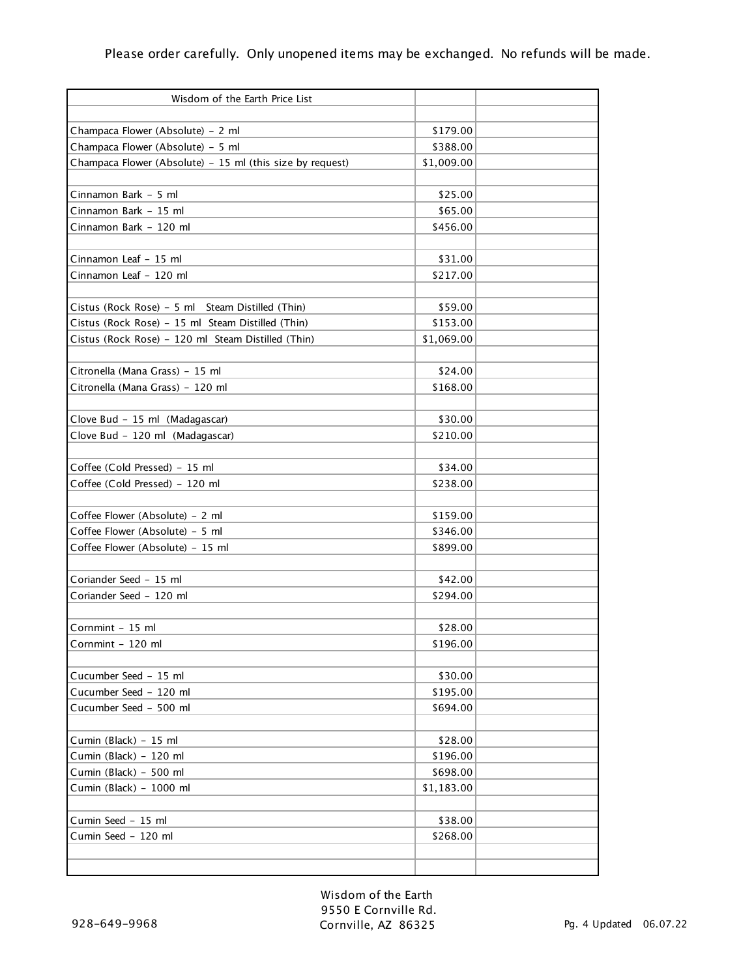| Wisdom of the Earth Price List                            |            |  |
|-----------------------------------------------------------|------------|--|
|                                                           |            |  |
| Champaca Flower (Absolute) - 2 ml                         | \$179.00   |  |
| Champaca Flower (Absolute) - 5 ml                         | \$388.00   |  |
| Champaca Flower (Absolute) - 15 ml (this size by request) | \$1,009.00 |  |
|                                                           |            |  |
| Cinnamon Bark - 5 ml                                      | \$25.00    |  |
| Cinnamon Bark - 15 ml                                     | \$65.00    |  |
| Cinnamon Bark - 120 ml                                    | \$456.00   |  |
|                                                           |            |  |
| Cinnamon Leaf - 15 ml                                     | \$31.00    |  |
| Cinnamon Leaf - 120 ml                                    | \$217.00   |  |
|                                                           |            |  |
| Cistus (Rock Rose) - 5 ml Steam Distilled (Thin)          | \$59.00    |  |
| Cistus (Rock Rose) - 15 ml Steam Distilled (Thin)         | \$153.00   |  |
| Cistus (Rock Rose) - 120 ml Steam Distilled (Thin)        | \$1,069.00 |  |
|                                                           |            |  |
| Citronella (Mana Grass) - 15 ml                           | \$24.00    |  |
| Citronella (Mana Grass) - 120 ml                          | \$168.00   |  |
|                                                           |            |  |
| Clove Bud - 15 ml (Madagascar)                            | \$30.00    |  |
| Clove Bud - 120 ml (Madagascar)                           | \$210.00   |  |
|                                                           |            |  |
| Coffee (Cold Pressed) - 15 ml                             | \$34.00    |  |
| Coffee (Cold Pressed) - 120 ml                            | \$238.00   |  |
|                                                           |            |  |
| Coffee Flower (Absolute) - 2 ml                           | \$159.00   |  |
| Coffee Flower (Absolute) - 5 ml                           | \$346.00   |  |
| Coffee Flower (Absolute) - 15 ml                          | \$899.00   |  |
|                                                           |            |  |
| Coriander Seed - 15 ml                                    | \$42.00    |  |
| Coriander Seed - 120 ml                                   | \$294.00   |  |
|                                                           |            |  |
| Cornmint - 15 ml                                          | \$28.00    |  |
| Cornmint - 120 ml                                         | \$196.00   |  |
|                                                           |            |  |
| Cucumber Seed - 15 ml                                     | \$30.00    |  |
| Cucumber Seed - 120 ml                                    | \$195.00   |  |
| Cucumber Seed - 500 ml                                    | \$694.00   |  |
|                                                           |            |  |
| Cumin (Black) - 15 ml                                     | \$28.00    |  |
| Cumin (Black) - 120 ml                                    | \$196.00   |  |
| Cumin (Black) - 500 ml                                    | \$698.00   |  |
| Cumin (Black) - 1000 ml                                   | \$1,183.00 |  |
|                                                           |            |  |
| Cumin Seed - 15 ml                                        | \$38.00    |  |
| Cumin Seed - 120 ml                                       | \$268.00   |  |
|                                                           |            |  |
|                                                           |            |  |

Wisdom of the Earth 9550 E Cornville Rd. Cornville, AZ 86325 Pg. 4 Updated 06.07.22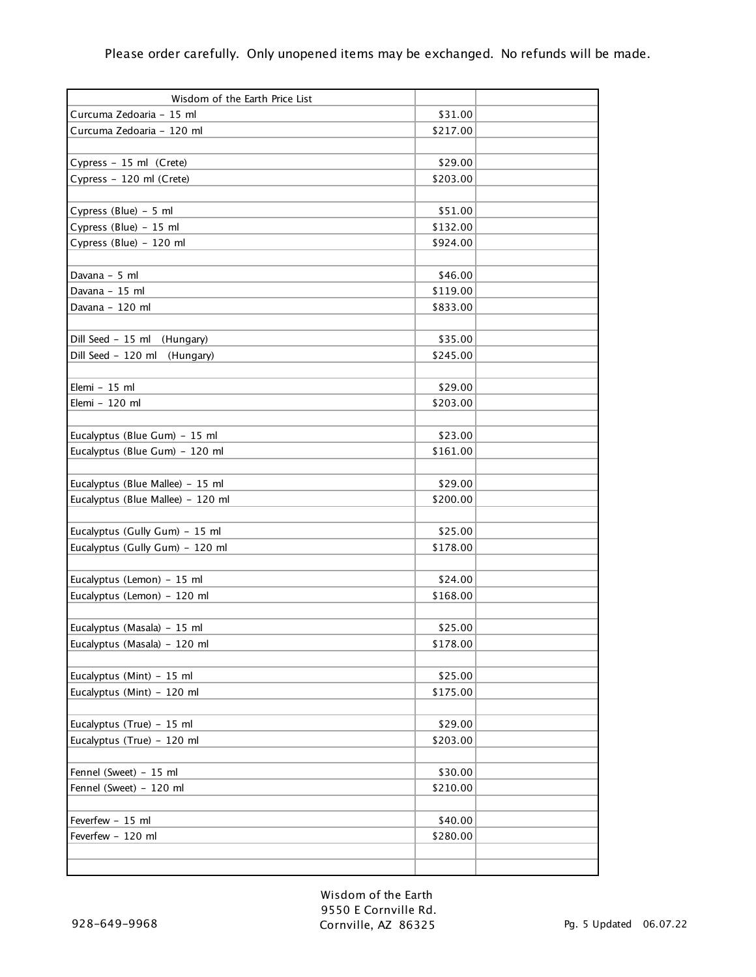| Wisdom of the Earth Price List    |          |  |
|-----------------------------------|----------|--|
| Curcuma Zedoaria - 15 ml          | \$31.00  |  |
| Curcuma Zedoaria - 120 ml         | \$217.00 |  |
|                                   |          |  |
| Cypress - 15 ml (Crete)           | \$29.00  |  |
| Cypress - 120 ml (Crete)          | \$203.00 |  |
|                                   |          |  |
| Cypress (Blue) - 5 ml             | \$51.00  |  |
| Cypress (Blue) - 15 ml            | \$132.00 |  |
| Cypress (Blue) - 120 ml           | \$924.00 |  |
|                                   |          |  |
| Davana - 5 ml                     | \$46.00  |  |
| Davana - 15 ml                    | \$119.00 |  |
| Davana - 120 ml                   | \$833.00 |  |
|                                   |          |  |
| Dill Seed - 15 ml (Hungary)       | \$35.00  |  |
| Dill Seed - 120 ml<br>(Hungary)   | \$245.00 |  |
|                                   |          |  |
| Elemi - 15 ml                     | \$29.00  |  |
| Elemi - 120 ml                    | \$203.00 |  |
|                                   |          |  |
| Eucalyptus (Blue Gum) - 15 ml     | \$23.00  |  |
| Eucalyptus (Blue Gum) - 120 ml    | \$161.00 |  |
|                                   |          |  |
| Eucalyptus (Blue Mallee) - 15 ml  | \$29.00  |  |
| Eucalyptus (Blue Mallee) - 120 ml | \$200.00 |  |
|                                   |          |  |
| Eucalyptus (Gully Gum) - 15 ml    | \$25.00  |  |
| Eucalyptus (Gully Gum) - 120 ml   | \$178.00 |  |
|                                   |          |  |
| Eucalyptus (Lemon) - 15 ml        | \$24.00  |  |
| Eucalyptus (Lemon) - 120 ml       | \$168.00 |  |
|                                   |          |  |
| Eucalyptus (Masala) - 15 ml       | \$25.00  |  |
| Eucalyptus (Masala) - 120 ml      | \$178.00 |  |
|                                   |          |  |
| Eucalyptus (Mint) - 15 ml         | \$25.00  |  |
| Eucalyptus (Mint) - 120 ml        | \$175.00 |  |
|                                   |          |  |
| Eucalyptus (True) - 15 ml         | \$29.00  |  |
| Eucalyptus (True) - 120 ml        | \$203.00 |  |
|                                   |          |  |
| Fennel (Sweet) - 15 ml            | \$30.00  |  |
| Fennel (Sweet) - 120 ml           | \$210.00 |  |
|                                   |          |  |
| Feverfew - 15 ml                  | \$40.00  |  |
| Feverfew - 120 ml                 | \$280.00 |  |
|                                   |          |  |
|                                   |          |  |

Wisdom of the Earth 9550 E Cornville Rd. Cornville, AZ 86325 Pg. 5 Updated 06.07.22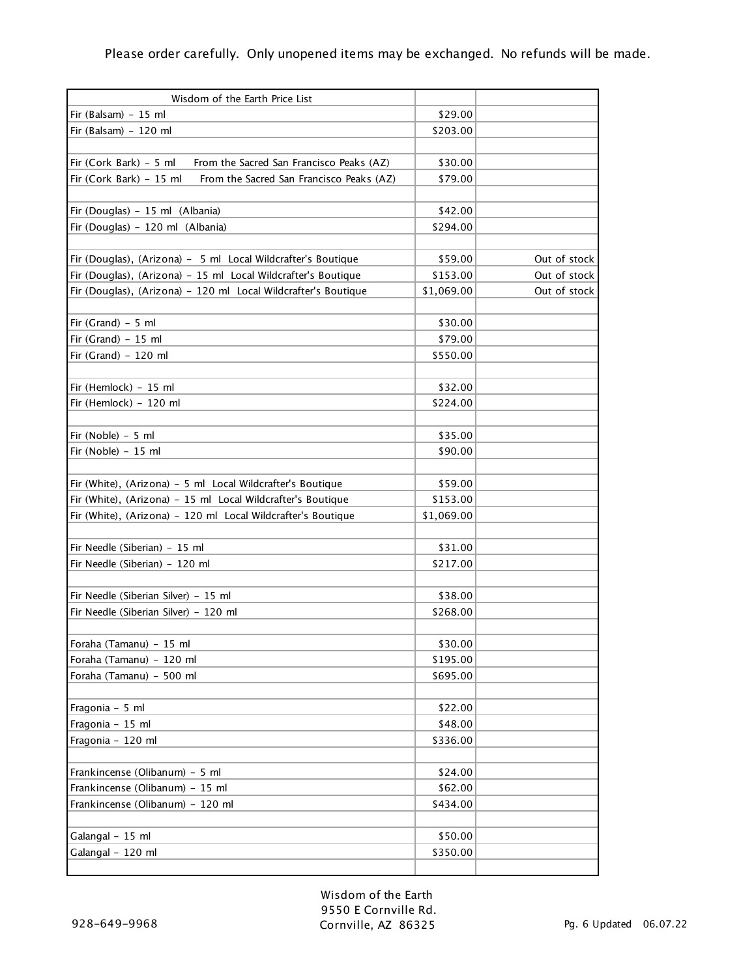| Wisdom of the Earth Price List                                      |            |              |
|---------------------------------------------------------------------|------------|--------------|
| Fir (Balsam) $-15$ ml                                               | \$29.00    |              |
| Fir (Balsam) $-120$ ml                                              | \$203.00   |              |
|                                                                     |            |              |
| Fir (Cork Bark) - 5 ml<br>From the Sacred San Francisco Peaks (AZ)  | \$30.00    |              |
| Fir (Cork Bark) - 15 ml<br>From the Sacred San Francisco Peaks (AZ) | \$79.00    |              |
|                                                                     |            |              |
| Fir (Douglas) - 15 ml (Albania)                                     | \$42.00    |              |
| Fir (Douglas) - 120 ml (Albania)                                    | \$294.00   |              |
|                                                                     |            |              |
| Fir (Douglas), (Arizona) - 5 ml Local Wildcrafter's Boutique        | \$59.00    | Out of stock |
| Fir (Douglas), (Arizona) - 15 ml Local Wildcrafter's Boutique       | \$153.00   | Out of stock |
| Fir (Douglas), (Arizona) - 120 ml Local Wildcrafter's Boutique      | \$1,069.00 | Out of stock |
|                                                                     |            |              |
| Fir (Grand) $-5$ ml                                                 | \$30.00    |              |
| Fir (Grand) $-15$ ml                                                | \$79.00    |              |
| Fir (Grand) $-120$ ml                                               | \$550.00   |              |
|                                                                     |            |              |
| Fir (Hemlock) - 15 ml                                               | \$32.00    |              |
| Fir (Hemlock) - 120 ml                                              | \$224.00   |              |
|                                                                     |            |              |
| Fir (Noble) - 5 ml                                                  | \$35.00    |              |
| Fir (Noble) $-15$ ml                                                | \$90.00    |              |
|                                                                     |            |              |
| Fir (White), (Arizona) - 5 ml Local Wildcrafter's Boutique          | \$59.00    |              |
| Fir (White), (Arizona) - 15 ml Local Wildcrafter's Boutique         | \$153.00   |              |
| Fir (White), (Arizona) - 120 ml Local Wildcrafter's Boutique        | \$1,069.00 |              |
|                                                                     |            |              |
| Fir Needle (Siberian) - 15 ml                                       | \$31.00    |              |
| Fir Needle (Siberian) - 120 ml                                      | \$217.00   |              |
|                                                                     |            |              |
| Fir Needle (Siberian Silver) - 15 ml                                | \$38.00    |              |
| Fir Needle (Siberian Silver) - 120 ml                               | \$268.00   |              |
|                                                                     |            |              |
| Foraha (Tamanu) – 15 ml                                             | \$30.00    |              |
| Foraha (Tamanu) - 120 ml                                            | \$195.00   |              |
| Foraha (Tamanu) - 500 ml                                            | \$695.00   |              |
|                                                                     |            |              |
| Fragonia - 5 ml                                                     | \$22.00    |              |
| Fragonia - 15 ml                                                    | \$48.00    |              |
|                                                                     | \$336.00   |              |
| Fragonia - 120 ml                                                   |            |              |
|                                                                     | \$24.00    |              |
| Frankincense (Olibanum) - 5 ml                                      |            |              |
| Frankincense (Olibanum) - 15 ml                                     | \$62.00    |              |
| Frankincense (Olibanum) - 120 ml                                    | \$434.00   |              |
|                                                                     |            |              |
| Galangal - 15 ml                                                    | \$50.00    |              |
| Galangal - 120 ml                                                   | \$350.00   |              |
|                                                                     |            |              |

Wisdom of the Earth 9550 E Cornville Rd. Cornville, AZ 86325 Pg. 6 Updated 06.07.22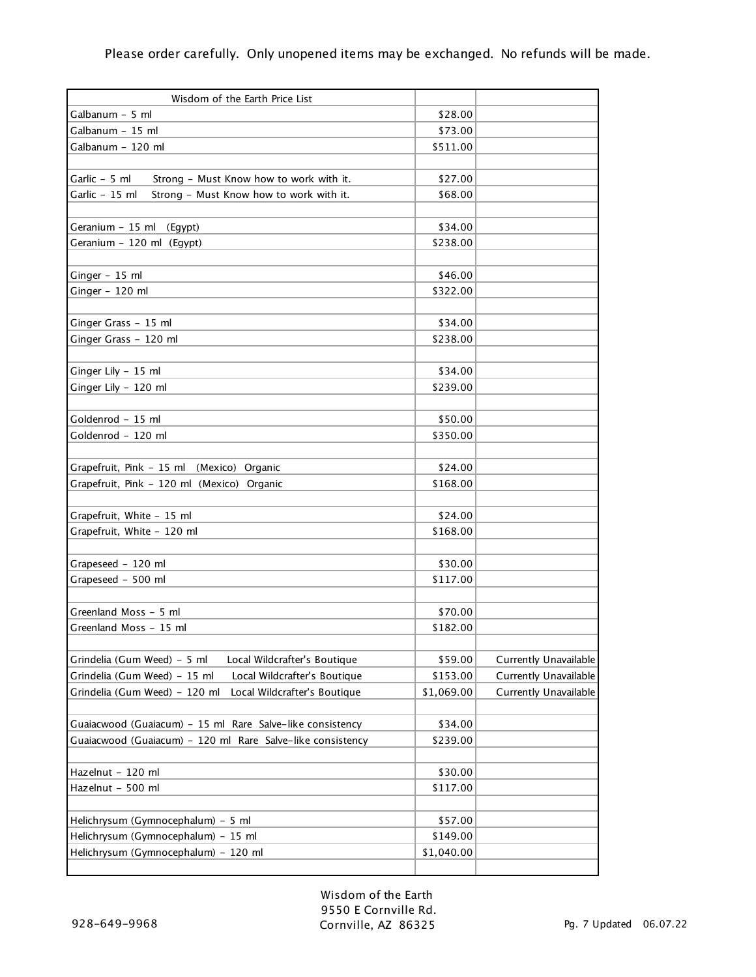| Wisdom of the Earth Price List                                |            |                       |
|---------------------------------------------------------------|------------|-----------------------|
| Galbanum - 5 ml                                               | \$28.00    |                       |
| Galbanum - 15 ml                                              | \$73.00    |                       |
| Galbanum - 120 ml                                             | \$511.00   |                       |
|                                                               |            |                       |
| Garlic - 5 ml<br>Strong - Must Know how to work with it.      | \$27.00    |                       |
| Garlic - 15 ml<br>Strong - Must Know how to work with it.     | \$68.00    |                       |
|                                                               |            |                       |
| Geranium - 15 ml (Egypt)                                      | \$34.00    |                       |
| Geranium - 120 ml (Egypt)                                     | \$238.00   |                       |
|                                                               |            |                       |
| Ginger - 15 ml                                                | \$46.00    |                       |
| Ginger - 120 ml                                               | \$322.00   |                       |
|                                                               |            |                       |
| Ginger Grass - 15 ml                                          | \$34.00    |                       |
| Ginger Grass - 120 ml                                         | \$238.00   |                       |
|                                                               |            |                       |
| Ginger Lily - 15 ml                                           | \$34.00    |                       |
| Ginger Lily - 120 ml                                          | \$239.00   |                       |
|                                                               |            |                       |
| Goldenrod - 15 ml                                             | \$50.00    |                       |
| Goldenrod - 120 ml                                            | \$350.00   |                       |
|                                                               |            |                       |
| Grapefruit, Pink - 15 ml (Mexico) Organic                     | \$24.00    |                       |
| Grapefruit, Pink - 120 ml (Mexico) Organic                    | \$168.00   |                       |
|                                                               |            |                       |
| Grapefruit, White - 15 ml                                     | \$24.00    |                       |
| Grapefruit, White - 120 ml                                    | \$168.00   |                       |
|                                                               |            |                       |
| Grapeseed - 120 ml                                            | \$30.00    |                       |
| Grapeseed - 500 ml                                            | \$117.00   |                       |
|                                                               |            |                       |
| Greenland Moss - 5 ml                                         | \$70.00    |                       |
| Greenland Moss - 15 ml                                        | \$182.00   |                       |
|                                                               |            |                       |
| Grindelia (Gum Weed) - 5 ml<br>Local Wildcrafter's Boutique   | \$59.00    | Currently Unavailable |
| Grindelia (Gum Weed) - 15 ml<br>Local Wildcrafter's Boutique  | \$153.00   | Currently Unavailable |
| Grindelia (Gum Weed) - 120 ml<br>Local Wildcrafter's Boutique | \$1,069.00 | Currently Unavailable |
|                                                               |            |                       |
| Guaiacwood (Guaiacum) - 15 ml Rare Salve-like consistency     | \$34.00    |                       |
| Guaiacwood (Guaiacum) - 120 ml Rare Salve-like consistency    | \$239.00   |                       |
|                                                               |            |                       |
| Hazelnut - 120 ml                                             | \$30.00    |                       |
| Hazelnut - 500 ml                                             | \$117.00   |                       |
|                                                               |            |                       |
| Helichrysum (Gymnocephalum) - 5 ml                            | \$57.00    |                       |
| Helichrysum (Gymnocephalum) - 15 ml                           | \$149.00   |                       |
| Helichrysum (Gymnocephalum) - 120 ml                          | \$1,040.00 |                       |
|                                                               |            |                       |

Wisdom of the Earth 9550 E Cornville Rd. Cornville, AZ 86325 Pg. 7 Updated 06.07.22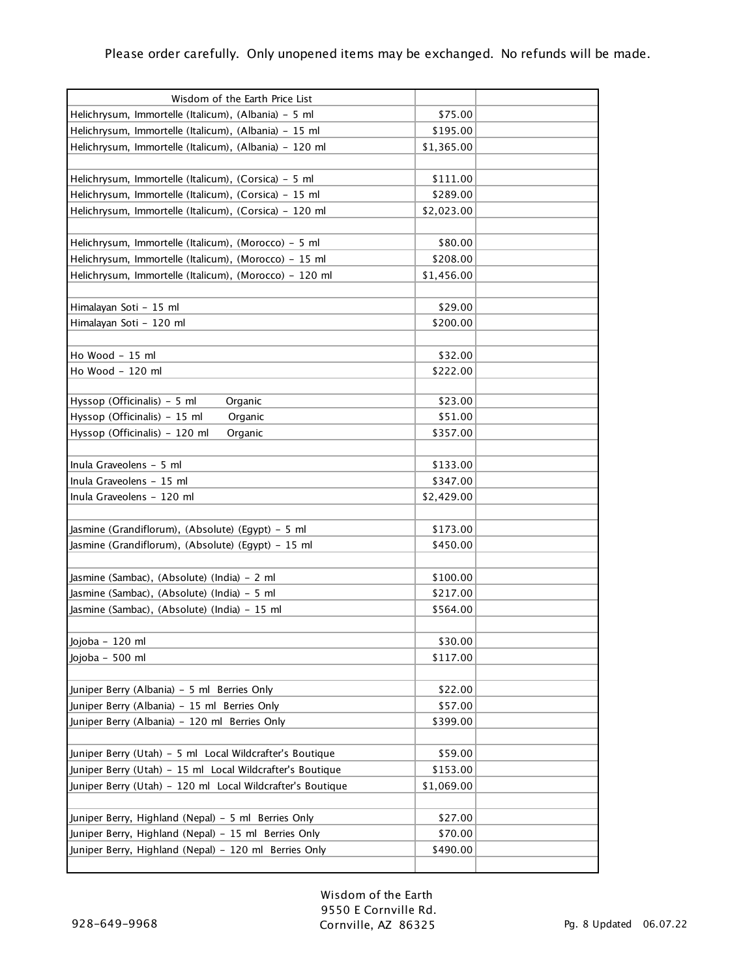| Wisdom of the Earth Price List                                                              |                    |  |
|---------------------------------------------------------------------------------------------|--------------------|--|
| Helichrysum, Immortelle (Italicum), (Albania) - 5 ml                                        | \$75.00            |  |
| Helichrysum, Immortelle (Italicum), (Albania) - 15 ml                                       | \$195.00           |  |
| Helichrysum, Immortelle (Italicum), (Albania) - 120 ml                                      | \$1,365.00         |  |
|                                                                                             |                    |  |
| Helichrysum, Immortelle (Italicum), (Corsica) - 5 ml                                        | \$111.00           |  |
| Helichrysum, Immortelle (Italicum), (Corsica) - 15 ml                                       | \$289.00           |  |
| Helichrysum, Immortelle (Italicum), (Corsica) - 120 ml                                      | \$2,023.00         |  |
|                                                                                             |                    |  |
| Helichrysum, Immortelle (Italicum), (Morocco) - 5 ml                                        | \$80.00            |  |
| Helichrysum, Immortelle (Italicum), (Morocco) - 15 ml                                       | \$208.00           |  |
| Helichrysum, Immortelle (Italicum), (Morocco) - 120 ml                                      | \$1,456.00         |  |
|                                                                                             |                    |  |
| Himalayan Soti - 15 ml                                                                      | \$29.00            |  |
| Himalayan Soti - 120 ml                                                                     | \$200.00           |  |
|                                                                                             |                    |  |
| Ho Wood - 15 ml                                                                             | \$32.00            |  |
| Ho Wood - 120 ml                                                                            | \$222.00           |  |
|                                                                                             |                    |  |
| Hyssop (Officinalis) - 5 ml<br>Organic                                                      | \$23.00            |  |
| Hyssop (Officinalis) - 15 ml<br>Organic                                                     | \$51.00            |  |
| Hyssop (Officinalis) - 120 ml<br>Organic                                                    | \$357.00           |  |
|                                                                                             |                    |  |
| Inula Graveolens - 5 ml                                                                     | \$133.00           |  |
| Inula Graveolens - 15 ml                                                                    | \$347.00           |  |
| Inula Graveolens - 120 ml                                                                   | \$2,429.00         |  |
|                                                                                             |                    |  |
| Jasmine (Grandiflorum), (Absolute) (Egypt) - 5 ml                                           | \$173.00           |  |
| Jasmine (Grandiflorum), (Absolute) (Egypt) - 15 ml                                          | \$450.00           |  |
|                                                                                             |                    |  |
| Jasmine (Sambac), (Absolute) (India) - 2 ml                                                 | \$100.00           |  |
| Jasmine (Sambac), (Absolute) (India) - 5 ml                                                 | \$217.00           |  |
| Jasmine (Sambac), (Absolute) (India) - 15 ml                                                | \$564.00           |  |
|                                                                                             |                    |  |
| Jojoba - 120 ml                                                                             | \$30.00            |  |
| Jojoba - 500 ml                                                                             | \$117.00           |  |
|                                                                                             |                    |  |
| Juniper Berry (Albania) - 5 ml Berries Only<br>Juniper Berry (Albania) - 15 ml Berries Only | \$22.00<br>\$57.00 |  |
|                                                                                             | \$399.00           |  |
| Juniper Berry (Albania) - 120 ml Berries Only                                               |                    |  |
| Juniper Berry (Utah) - 5 ml Local Wildcrafter's Boutique                                    | \$59.00            |  |
| Juniper Berry (Utah) - 15 ml Local Wildcrafter's Boutique                                   | \$153.00           |  |
|                                                                                             |                    |  |
| Juniper Berry (Utah) - 120 ml Local Wildcrafter's Boutique                                  | \$1,069.00         |  |
|                                                                                             | \$27.00            |  |
| Juniper Berry, Highland (Nepal) - 5 ml Berries Only                                         | \$70.00            |  |
| Juniper Berry, Highland (Nepal) - 15 ml Berries Only                                        | \$490.00           |  |
| Juniper Berry, Highland (Nepal) - 120 ml Berries Only                                       |                    |  |
|                                                                                             |                    |  |

Wisdom of the Earth 9550 E Cornville Rd. Cornville, AZ 86325 Pg. 8 Updated 06.07.22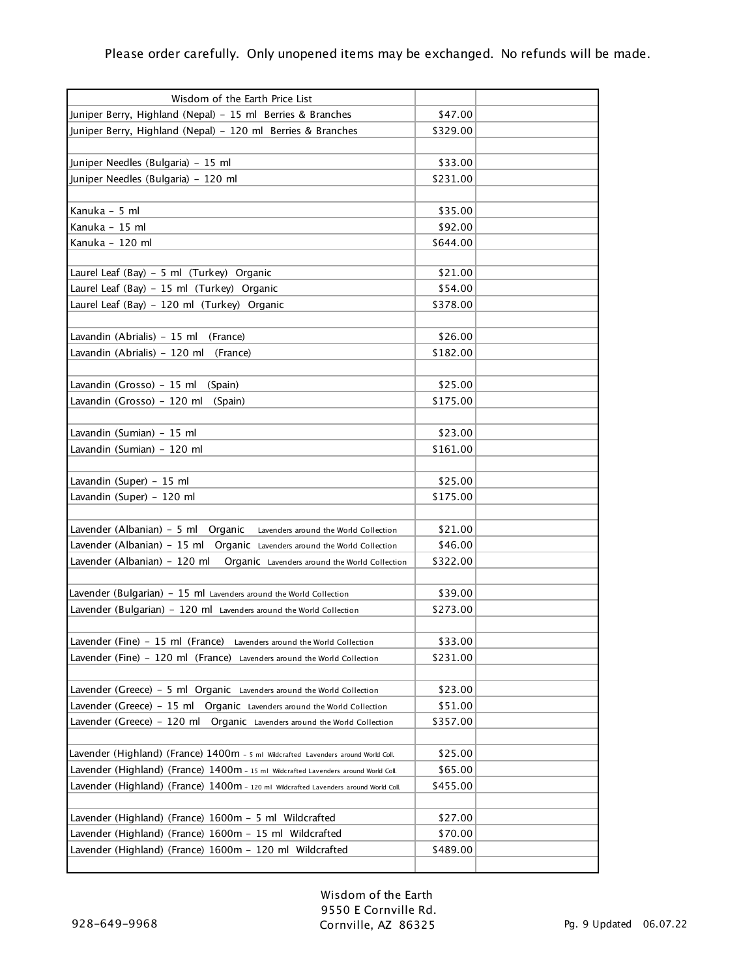| Wisdom of the Earth Price List                                                                            |                     |  |
|-----------------------------------------------------------------------------------------------------------|---------------------|--|
| Juniper Berry, Highland (Nepal) - 15 ml Berries & Branches                                                | \$47.00             |  |
| Juniper Berry, Highland (Nepal) - 120 ml Berries & Branches                                               | \$329.00            |  |
|                                                                                                           |                     |  |
| Juniper Needles (Bulgaria) - 15 ml                                                                        | \$33.00             |  |
| Juniper Needles (Bulgaria) - 120 ml                                                                       | \$231.00            |  |
|                                                                                                           |                     |  |
| Kanuka - 5 ml                                                                                             | \$35.00             |  |
| Kanuka - 15 ml                                                                                            | \$92.00             |  |
| Kanuka - 120 ml                                                                                           | \$644.00            |  |
|                                                                                                           |                     |  |
| Laurel Leaf (Bay) - 5 ml (Turkey) Organic                                                                 | \$21.00             |  |
| Laurel Leaf (Bay) - 15 ml (Turkey) Organic                                                                | \$54.00             |  |
| Laurel Leaf (Bay) - 120 ml (Turkey) Organic                                                               | \$378.00            |  |
|                                                                                                           |                     |  |
| Lavandin (Abrialis) - 15 ml<br>(France)                                                                   | \$26.00             |  |
| Lavandin (Abrialis) - 120 ml<br>(France)                                                                  | \$182.00            |  |
|                                                                                                           |                     |  |
| Lavandin (Grosso) - 15 ml<br>(Spain)                                                                      | \$25.00             |  |
| Lavandin (Grosso) - 120 ml<br>(Spain)                                                                     | \$175.00            |  |
|                                                                                                           |                     |  |
| Lavandin (Sumian) - 15 ml                                                                                 | \$23.00             |  |
| Lavandin (Sumian) - 120 ml                                                                                | \$161.00            |  |
|                                                                                                           |                     |  |
| Lavandin (Super) - 15 ml                                                                                  | \$25.00             |  |
| Lavandin (Super) - 120 ml                                                                                 | \$175.00            |  |
|                                                                                                           |                     |  |
| Lavender (Albanian) - 5 ml<br>Organic<br>Lavenders around the World Collection                            | \$21.00             |  |
| Lavender (Albanian) - 15 ml Organic Lavenders around the World Collection<br>Lavender (Albanian) - 120 ml | \$46.00<br>\$322.00 |  |
| Organic Lavenders around the World Collection                                                             |                     |  |
| Lavender (Bulgarian) - 15 ml Lavenders around the World Collection                                        | \$39.00             |  |
| Lavender (Bulgarian) - 120 ml Lavenders around the World Collection                                       | \$273.00            |  |
|                                                                                                           |                     |  |
| Lavender (Fine) - 15 ml (France) Lavenders around the World Collection                                    | \$33.00             |  |
| Lavender (Fine) - 120 ml (France) Lavenders around the World Collection                                   | \$231.00            |  |
|                                                                                                           |                     |  |
| Lavender (Greece) – 5 ml Organic Lavenders around the World Collection                                    | \$23.00             |  |
| Lavender (Greece) – 15 ml<br>Organic Lavenders around the World Collection                                | \$51.00             |  |
| Lavender (Greece) – 120 ml<br>Organic Lavenders around the World Collection                               | \$357.00            |  |
|                                                                                                           |                     |  |
| Lavender (Highland) (France) 1400m - 5 ml Wildcrafted Lavenders around World Coll.                        | \$25.00             |  |
| Lavender (Highland) (France) 1400m - 15 ml Wildcrafted Lavenders around World Coll.                       | \$65.00             |  |
| Lavender (Highland) (France) 1400m - 120 ml Wildcrafted Lavenders around World Coll.                      | \$455.00            |  |
|                                                                                                           |                     |  |
| Lavender (Highland) (France) 1600m - 5 ml Wildcrafted                                                     | \$27.00             |  |
| Lavender (Highland) (France) 1600m - 15 ml Wildcrafted                                                    | \$70.00             |  |
| Lavender (Highland) (France) 1600m - 120 ml Wildcrafted                                                   | \$489.00            |  |
|                                                                                                           |                     |  |

Wisdom of the Earth 9550 E Cornville Rd. Cornville, AZ 86325 Pg. 9 Updated 06.07.22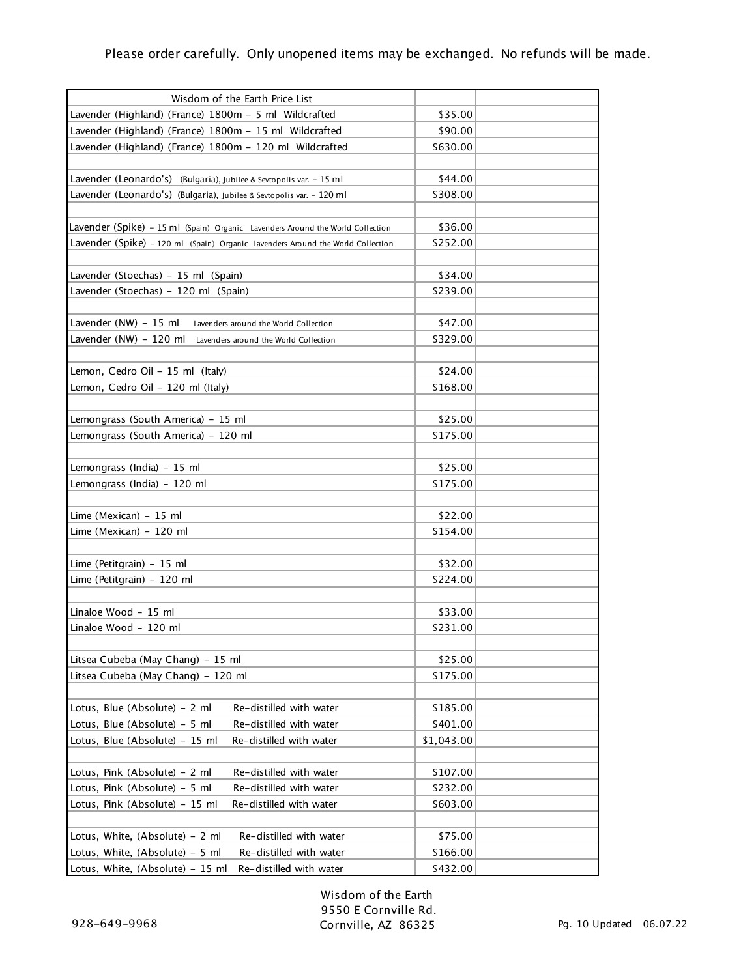| Wisdom of the Earth Price List                                                  |            |  |
|---------------------------------------------------------------------------------|------------|--|
| Lavender (Highland) (France) 1800m - 5 ml Wildcrafted                           | \$35.00    |  |
| Lavender (Highland) (France) 1800m - 15 ml Wildcrafted                          | \$90.00    |  |
| Lavender (Highland) (France) 1800m - 120 ml Wildcrafted                         | \$630.00   |  |
|                                                                                 |            |  |
| Lavender (Leonardo's) (Bulgaria), Jubilee & Sevtopolis var. - 15 ml             | \$44.00    |  |
| Lavender (Leonardo's) (Bulgaria), Jubilee & Sevtopolis var. - 120 ml            | \$308.00   |  |
|                                                                                 |            |  |
| Lavender (Spike) - 15 ml (Spain) Organic Lavenders Around the World Collection  | \$36.00    |  |
| Lavender (Spike) - 120 ml (Spain) Organic Lavenders Around the World Collection | \$252.00   |  |
|                                                                                 |            |  |
| Lavender (Stoechas) - 15 ml (Spain)                                             | \$34.00    |  |
| Lavender (Stoechas) - 120 ml (Spain)                                            | \$239.00   |  |
|                                                                                 |            |  |
| Lavender (NW) - 15 ml<br>Lavenders around the World Collection                  | \$47.00    |  |
| Lavender (NW) - 120 ml<br>Lavenders around the World Collection                 | \$329.00   |  |
|                                                                                 |            |  |
| Lemon, Cedro Oil - 15 ml (Italy)                                                | \$24.00    |  |
| Lemon, Cedro Oil - 120 ml (Italy)                                               | \$168.00   |  |
|                                                                                 |            |  |
| Lemongrass (South America) - 15 ml                                              | \$25.00    |  |
| Lemongrass (South America) - 120 ml                                             | \$175.00   |  |
|                                                                                 |            |  |
| Lemongrass (India) - 15 ml                                                      | \$25.00    |  |
| Lemongrass (India) - 120 ml                                                     | \$175.00   |  |
|                                                                                 |            |  |
| Lime (Mexican) - 15 ml                                                          | \$22.00    |  |
| Lime (Mexican) - 120 ml                                                         | \$154.00   |  |
|                                                                                 |            |  |
| Lime (Petitgrain) - 15 ml                                                       | \$32.00    |  |
| Lime (Petitgrain) - 120 ml                                                      | \$224.00   |  |
|                                                                                 |            |  |
| Linaloe Wood - 15 ml                                                            | \$33.00    |  |
| Linaloe Wood - 120 ml                                                           | \$231.00   |  |
|                                                                                 |            |  |
| Litsea Cubeba (May Chang) - 15 ml                                               | \$25.00    |  |
| Litsea Cubeba (May Chang) - 120 ml                                              | \$175.00   |  |
|                                                                                 |            |  |
| Lotus, Blue (Absolute) - 2 ml<br>Re-distilled with water                        | \$185.00   |  |
| Lotus, Blue (Absolute) - 5 ml<br>Re-distilled with water                        | \$401.00   |  |
| Lotus, Blue (Absolute) - 15 ml<br>Re-distilled with water                       | \$1,043.00 |  |
|                                                                                 |            |  |
| Lotus, Pink (Absolute) - 2 ml<br>Re-distilled with water                        | \$107.00   |  |
| Lotus, Pink (Absolute) - 5 ml<br>Re-distilled with water                        | \$232.00   |  |
| Lotus, Pink (Absolute) - 15 ml<br>Re-distilled with water                       | \$603.00   |  |
|                                                                                 |            |  |
| Re-distilled with water<br>Lotus, White, (Absolute) – 2 ml                      | \$75.00    |  |
| Lotus, White, (Absolute) - 5 ml<br>Re-distilled with water                      | \$166.00   |  |
| Re-distilled with water<br>Lotus, White, (Absolute) - 15 ml                     | \$432.00   |  |
|                                                                                 |            |  |

Wisdom of the Earth 9550 E Cornville Rd. Cornville, AZ 86325 Pg. 10 Updated 06.07.22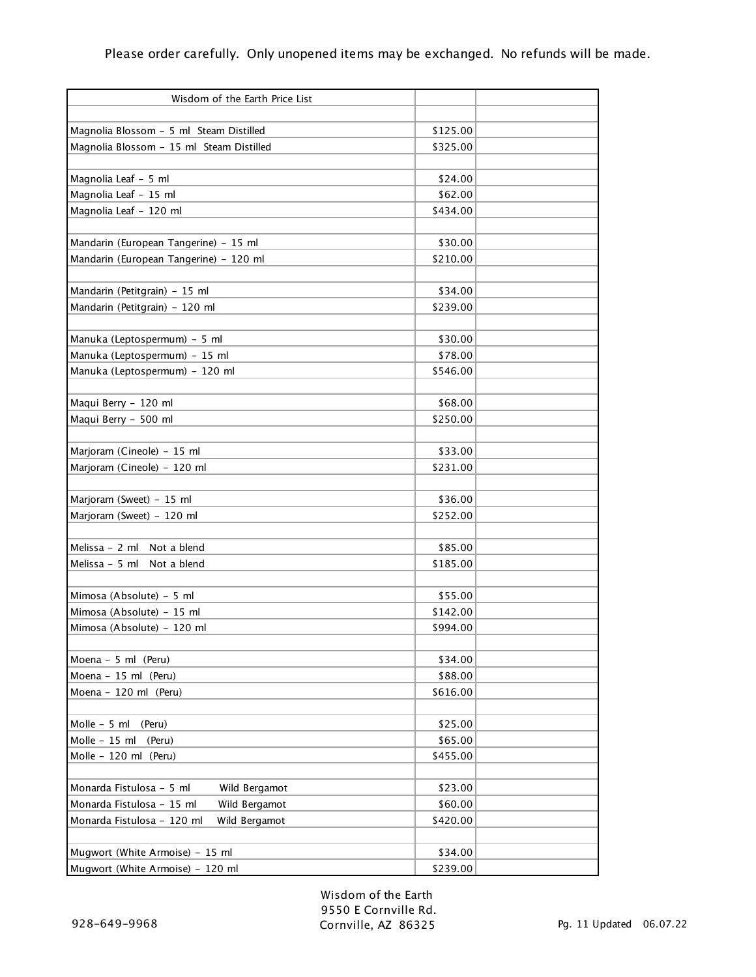| Wisdom of the Earth Price List              |          |  |
|---------------------------------------------|----------|--|
|                                             |          |  |
| Magnolia Blossom - 5 ml Steam Distilled     | \$125.00 |  |
| Magnolia Blossom - 15 ml Steam Distilled    | \$325.00 |  |
|                                             |          |  |
| Magnolia Leaf - 5 ml                        | \$24.00  |  |
| Magnolia Leaf - 15 ml                       | \$62.00  |  |
| Magnolia Leaf - 120 ml                      | \$434.00 |  |
| Mandarin (European Tangerine) - 15 ml       | \$30.00  |  |
| Mandarin (European Tangerine) - 120 ml      | \$210.00 |  |
|                                             |          |  |
| Mandarin (Petitgrain) - 15 ml               | \$34.00  |  |
| Mandarin (Petitgrain) - 120 ml              | \$239.00 |  |
|                                             |          |  |
| Manuka (Leptospermum) - 5 ml                | \$30.00  |  |
| Manuka (Leptospermum) - 15 ml               | \$78.00  |  |
| Manuka (Leptospermum) - 120 ml              | \$546.00 |  |
|                                             |          |  |
| Maqui Berry - 120 ml                        | \$68.00  |  |
| Maqui Berry - 500 ml                        | \$250.00 |  |
|                                             |          |  |
| Marjoram (Cineole) - 15 ml                  | \$33.00  |  |
| Marjoram (Cineole) - 120 ml                 | \$231.00 |  |
|                                             |          |  |
| Marjoram (Sweet) - 15 ml                    | \$36.00  |  |
| Marjoram (Sweet) - 120 ml                   | \$252.00 |  |
|                                             |          |  |
| Melissa - 2 ml<br>Not a blend               | \$85.00  |  |
| Melissa - 5 ml<br>Not a blend               | \$185.00 |  |
|                                             |          |  |
| Mimosa (Absolute) - 5 ml                    | \$55.00  |  |
| Mimosa (Absolute) - 15 ml                   | \$142.00 |  |
| Mimosa (Absolute) - 120 ml                  | \$994.00 |  |
|                                             |          |  |
| Moena - 5 ml (Peru)                         | \$34.00  |  |
| Moena - 15 ml (Peru)                        | \$88.00  |  |
| Moena - 120 ml (Peru)                       | \$616.00 |  |
| Molle - 5 ml<br>(Peru)                      | \$25.00  |  |
| Molle - 15 ml<br>(Peru)                     | \$65.00  |  |
| Molle - 120 ml (Peru)                       | \$455.00 |  |
|                                             |          |  |
| Monarda Fistulosa - 5 ml<br>Wild Bergamot   | \$23.00  |  |
| Monarda Fistulosa - 15 ml<br>Wild Bergamot  | \$60.00  |  |
| Monarda Fistulosa - 120 ml<br>Wild Bergamot | \$420.00 |  |
|                                             |          |  |
| Mugwort (White Armoise) - 15 ml             | \$34.00  |  |
| Mugwort (White Armoise) - 120 ml            | \$239.00 |  |

Wisdom of the Earth 9550 E Cornville Rd. Cornville, AZ 86325 Pg. 11 Updated 06.07.22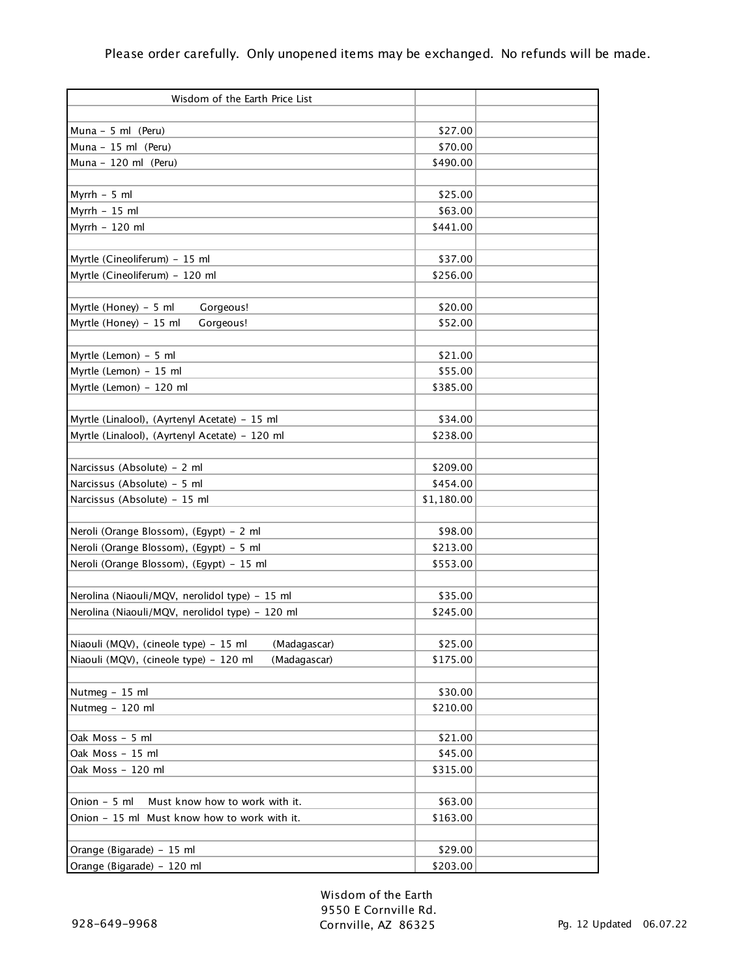| Wisdom of the Earth Price List                         |                    |  |
|--------------------------------------------------------|--------------------|--|
|                                                        |                    |  |
| Muna $-5$ ml (Peru)                                    | \$27.00<br>\$70.00 |  |
| Muna $-15$ ml (Peru)<br>Muna - 120 ml (Peru)           |                    |  |
|                                                        | \$490.00           |  |
| Myrrh $-5$ ml                                          | \$25.00            |  |
| Myrrh $-15$ ml                                         | \$63.00            |  |
| Myrrh - 120 ml                                         | \$441.00           |  |
|                                                        |                    |  |
| Myrtle (Cineoliferum) - 15 ml                          | \$37.00            |  |
| Myrtle (Cineoliferum) - 120 ml                         | \$256.00           |  |
|                                                        |                    |  |
| Myrtle (Honey) - 5 ml<br>Gorgeous!                     | \$20.00            |  |
| Myrtle (Honey) - 15 ml<br>Gorgeous!                    | \$52.00            |  |
|                                                        |                    |  |
| Myrtle (Lemon) - 5 ml                                  | \$21.00            |  |
| Myrtle (Lemon) - 15 ml                                 | \$55.00            |  |
| Myrtle (Lemon) - 120 ml                                | \$385.00           |  |
|                                                        |                    |  |
| Myrtle (Linalool), (Ayrtenyl Acetate) - 15 ml          | \$34.00            |  |
| Myrtle (Linalool), (Ayrtenyl Acetate) - 120 ml         | \$238.00           |  |
|                                                        |                    |  |
| Narcissus (Absolute) - 2 ml                            | \$209.00           |  |
| Narcissus (Absolute) - 5 ml                            | \$454.00           |  |
| Narcissus (Absolute) - 15 ml                           | \$1,180.00         |  |
|                                                        |                    |  |
| Neroli (Orange Blossom), (Egypt) - 2 ml                | \$98.00            |  |
| Neroli (Orange Blossom), (Egypt) - 5 ml                | \$213.00           |  |
| Neroli (Orange Blossom), (Egypt) - 15 ml               | \$553.00           |  |
|                                                        |                    |  |
| Nerolina (Niaouli/MQV, nerolidol type) - 15 ml         | \$35.00            |  |
| Nerolina (Niaouli/MQV, nerolidol type) - 120 ml        | \$245.00           |  |
|                                                        |                    |  |
| Niaouli (MQV), (cineole type) - 15 ml<br>(Madagascar)  | \$25.00            |  |
| Niaouli (MQV), (cineole type) - 120 ml<br>(Madagascar) | \$175.00           |  |
|                                                        |                    |  |
| Nutmeg - 15 ml                                         | \$30.00            |  |
| Nutmeg - 120 ml                                        | \$210.00           |  |
|                                                        |                    |  |
| Oak Moss - 5 ml                                        | \$21.00            |  |
| Oak Moss - 15 ml                                       | \$45.00            |  |
| Oak Moss – 120 ml                                      | \$315.00           |  |
|                                                        |                    |  |
| Onion - 5 ml<br>Must know how to work with it.         | \$63.00            |  |
| Onion - 15 ml Must know how to work with it.           | \$163.00           |  |
|                                                        |                    |  |
| Orange (Bigarade) - 15 ml                              | \$29.00            |  |
| Orange (Bigarade) - 120 ml                             | \$203.00           |  |

Wisdom of the Earth 9550 E Cornville Rd. Cornville, AZ 86325 Pg. 12 Updated 06.07.22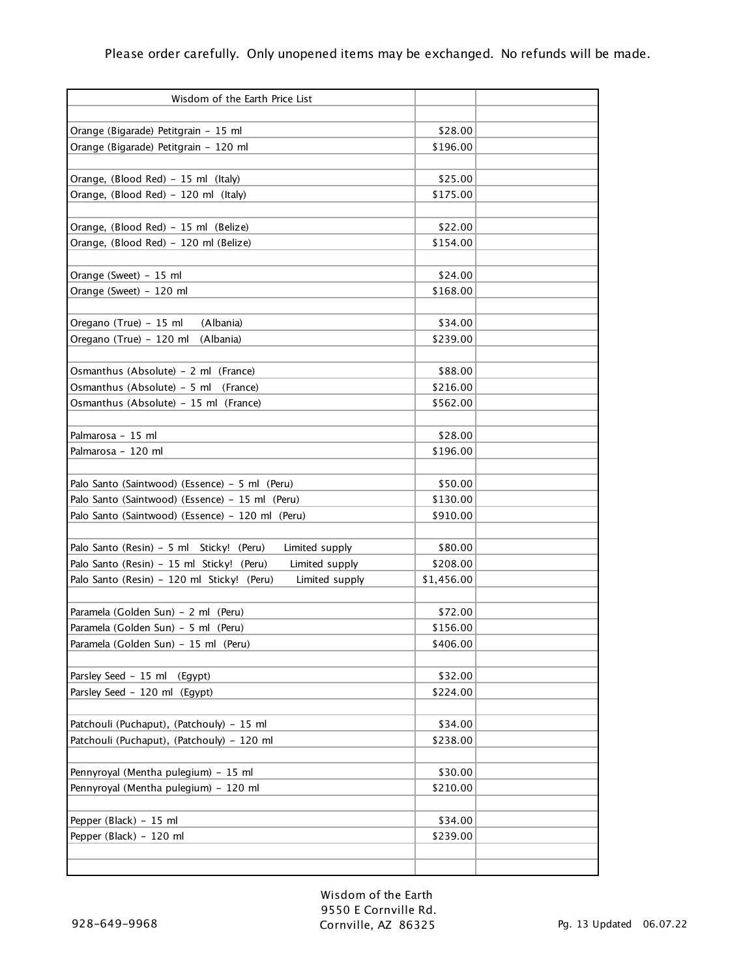| Wisdom of the Earth Price List                               |            |  |
|--------------------------------------------------------------|------------|--|
|                                                              |            |  |
| Orange (Bigarade) Petitgrain - 15 ml                         | \$28.00    |  |
| Orange (Bigarade) Petitgrain - 120 ml                        | \$196.00   |  |
|                                                              |            |  |
| Orange, (Blood Red) - 15 ml (Italy)                          | \$25.00    |  |
| Orange, (Blood Red) - 120 ml (Italy)                         | \$175.00   |  |
|                                                              |            |  |
| Orange, (Blood Red) - 15 ml (Belize)                         | \$22.00    |  |
| Orange, (Blood Red) - 120 ml (Belize)                        | \$154.00   |  |
|                                                              |            |  |
| Orange (Sweet) - 15 ml                                       | \$24.00    |  |
| Orange (Sweet) - 120 ml                                      | \$168.00   |  |
|                                                              |            |  |
| Oregano (True) - 15 ml<br>(Albania)                          | \$34.00    |  |
| Oregano (True) - 120 ml<br>(Albania)                         | \$239.00   |  |
|                                                              |            |  |
| Osmanthus (Absolute) - 2 ml (France)                         | \$88.00    |  |
| Osmanthus (Absolute) - 5 ml (France)                         | \$216.00   |  |
| Osmanthus (Absolute) - 15 ml (France)                        | \$562.00   |  |
|                                                              |            |  |
| Palmarosa - 15 ml                                            | \$28.00    |  |
| Palmarosa - 120 ml                                           | \$196.00   |  |
|                                                              |            |  |
| Palo Santo (Saintwood) (Essence) - 5 ml (Peru)               | \$50.00    |  |
| Palo Santo (Saintwood) (Essence) - 15 ml (Peru)              | \$130.00   |  |
| Palo Santo (Saintwood) (Essence) - 120 ml (Peru)             | \$910.00   |  |
|                                                              |            |  |
| Palo Santo (Resin) - 5 ml Sticky! (Peru)<br>Limited supply   | \$80.00    |  |
| Palo Santo (Resin) - 15 ml Sticky! (Peru)<br>Limited supply  | \$208.00   |  |
| Palo Santo (Resin) - 120 ml Sticky! (Peru)<br>Limited supply | \$1,456.00 |  |
|                                                              |            |  |
| Paramela (Golden Sun) - 2 ml (Peru)                          | \$72.00    |  |
| Paramela (Golden Sun) - 5 ml (Peru)                          | \$156.00   |  |
| Paramela (Golden Sun) - 15 ml (Peru)                         | \$406.00   |  |
|                                                              |            |  |
| Parsley Seed - 15 ml<br>(Egypt)                              | \$32.00    |  |
| Parsley Seed - 120 ml (Egypt)                                | \$224.00   |  |
|                                                              |            |  |
| Patchouli (Puchaput), (Patchouly) - 15 ml                    | \$34.00    |  |
| Patchouli (Puchaput), (Patchouly) - 120 ml                   | \$238.00   |  |
|                                                              |            |  |
| Pennyroyal (Mentha pulegium) - 15 ml                         | \$30.00    |  |
| Pennyroyal (Mentha pulegium) - 120 ml                        | \$210.00   |  |
|                                                              |            |  |
| Pepper (Black) - 15 ml                                       | \$34.00    |  |
| Pepper (Black) - 120 ml                                      | \$239.00   |  |
|                                                              |            |  |
|                                                              |            |  |

Wisdom of the Earth 9550 E Cornville Rd. Cornville, AZ 86325 Pg. 13 Updated 06.07.22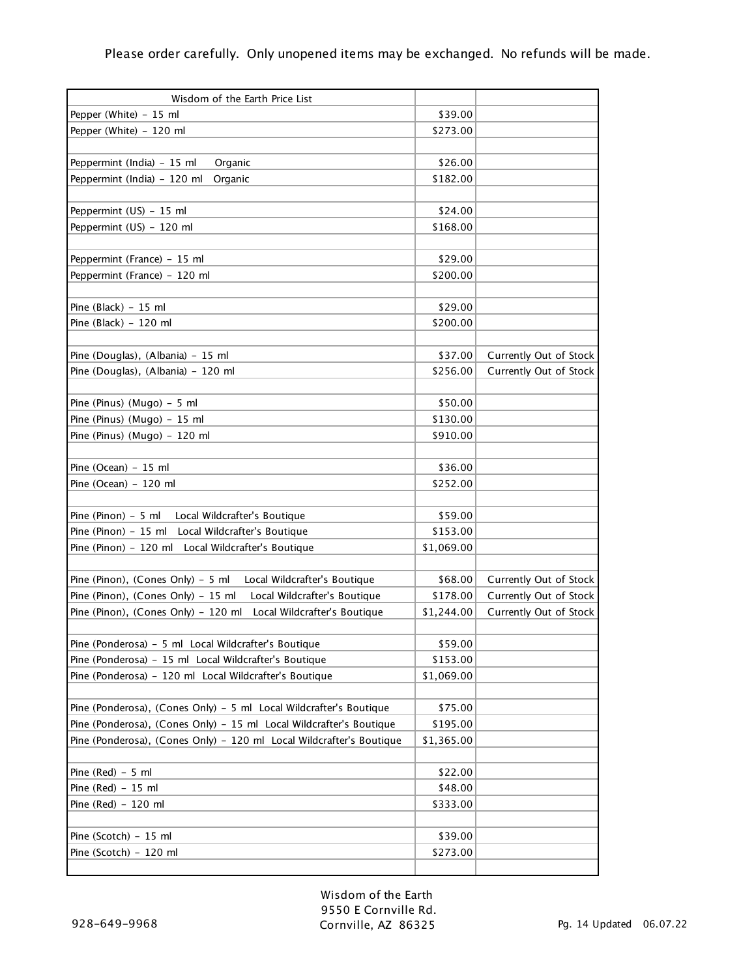| Wisdom of the Earth Price List                                       |                     |                        |
|----------------------------------------------------------------------|---------------------|------------------------|
| Pepper (White) - 15 ml                                               | \$39.00             |                        |
| Pepper (White) - 120 ml                                              | \$273.00            |                        |
|                                                                      |                     |                        |
| Peppermint (India) - 15 ml<br>Organic                                | \$26.00             |                        |
| Peppermint (India) - 120 ml<br>Organic                               | \$182.00            |                        |
|                                                                      |                     |                        |
| Peppermint (US) - 15 ml                                              | \$24.00             |                        |
| Peppermint (US) - 120 ml                                             | \$168.00            |                        |
|                                                                      |                     |                        |
| Peppermint (France) - 15 ml                                          | \$29.00             |                        |
| Peppermint (France) - 120 ml                                         | \$200.00            |                        |
|                                                                      |                     |                        |
| Pine (Black) - 15 ml                                                 | \$29.00             |                        |
| Pine (Black) - 120 ml                                                | \$200.00            |                        |
|                                                                      |                     |                        |
| Pine (Douglas), (Albania) - 15 ml                                    | \$37.00             | Currently Out of Stock |
| Pine (Douglas), (Albania) - 120 ml                                   | \$256.00            | Currently Out of Stock |
|                                                                      |                     |                        |
| Pine (Pinus) (Mugo) - 5 ml                                           | \$50.00             |                        |
| Pine (Pinus) (Mugo) - 15 ml                                          | \$130.00            |                        |
| Pine (Pinus) (Mugo) - 120 ml                                         | \$910.00            |                        |
|                                                                      |                     |                        |
|                                                                      |                     |                        |
| Pine (Ocean) - 15 ml<br>Pine (Ocean) - 120 ml                        | \$36.00<br>\$252.00 |                        |
|                                                                      |                     |                        |
|                                                                      | \$59.00             |                        |
| Pine (Pinon) - 5 ml<br>Local Wildcrafter's Boutique                  |                     |                        |
| Pine (Pinon) - 15 ml<br>Local Wildcrafter's Boutique                 | \$153.00            |                        |
| Pine (Pinon) - 120 ml<br>Local Wildcrafter's Boutique                | \$1,069.00          |                        |
|                                                                      |                     |                        |
| Pine (Pinon), (Cones Only) - 5 ml<br>Local Wildcrafter's Boutique    | \$68.00             | Currently Out of Stock |
| Pine (Pinon), (Cones Only) - 15 ml<br>Local Wildcrafter's Boutique   | \$178.00            | Currently Out of Stock |
| Pine (Pinon), (Cones Only) - 120 ml<br>Local Wildcrafter's Boutique  | \$1,244.00          | Currently Out of Stock |
|                                                                      |                     |                        |
| Pine (Ponderosa) - 5 ml Local Wildcrafter's Boutique                 | \$59.00             |                        |
| Pine (Ponderosa) - 15 ml Local Wildcrafter's Boutique                | \$153.00            |                        |
| Pine (Ponderosa) - 120 ml Local Wildcrafter's Boutique               | \$1,069.00          |                        |
|                                                                      |                     |                        |
| Pine (Ponderosa), (Cones Only) - 5 ml Local Wildcrafter's Boutique   | \$75.00             |                        |
| Pine (Ponderosa), (Cones Only) - 15 ml Local Wildcrafter's Boutique  | \$195.00            |                        |
| Pine (Ponderosa), (Cones Only) - 120 ml Local Wildcrafter's Boutique | \$1,365.00          |                        |
|                                                                      |                     |                        |
| Pine $(Red) - 5$ ml                                                  | \$22.00             |                        |
| Pine (Red) - 15 ml                                                   | \$48.00             |                        |
| Pine (Red) - 120 ml                                                  | \$333.00            |                        |
|                                                                      |                     |                        |
| Pine (Scotch) - 15 ml                                                | \$39.00             |                        |
| Pine (Scotch) - 120 ml                                               | \$273.00            |                        |
|                                                                      |                     |                        |

Wisdom of the Earth 9550 E Cornville Rd. Cornville, AZ 86325 Pg. 14 Updated 06.07.22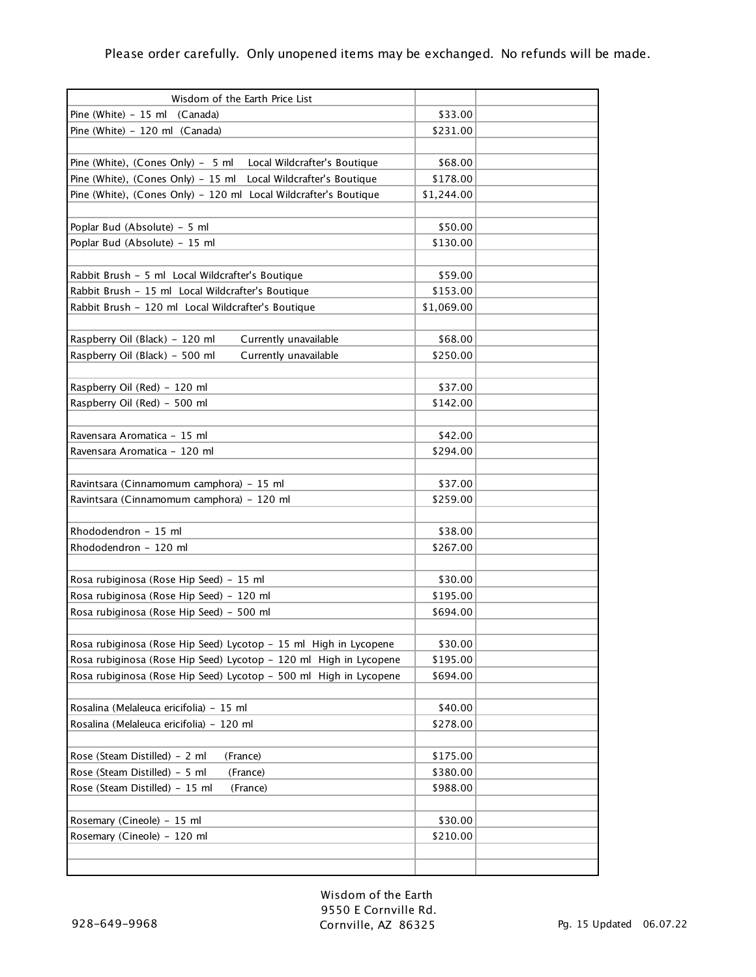| Wisdom of the Earth Price List                                     |            |  |
|--------------------------------------------------------------------|------------|--|
| Pine (White) - 15 ml (Canada)                                      | \$33.00    |  |
| Pine (White) - 120 ml (Canada)                                     | \$231.00   |  |
|                                                                    |            |  |
| Pine (White), (Cones Only) - 5 ml<br>Local Wildcrafter's Boutique  | \$68.00    |  |
| Pine (White), (Cones Only) - 15 ml<br>Local Wildcrafter's Boutique | \$178.00   |  |
| Pine (White), (Cones Only) - 120 ml Local Wildcrafter's Boutique   | \$1,244.00 |  |
|                                                                    |            |  |
| Poplar Bud (Absolute) - 5 ml                                       | \$50.00    |  |
| Poplar Bud (Absolute) - 15 ml                                      | \$130.00   |  |
|                                                                    |            |  |
| Rabbit Brush - 5 ml Local Wildcrafter's Boutique                   | \$59.00    |  |
| Rabbit Brush - 15 ml Local Wildcrafter's Boutique                  | \$153.00   |  |
| Rabbit Brush - 120 ml Local Wildcrafter's Boutique                 | \$1,069.00 |  |
|                                                                    |            |  |
| Raspberry Oil (Black) - 120 ml<br>Currently unavailable            | \$68.00    |  |
| Raspberry Oil (Black) - 500 ml<br>Currently unavailable            | \$250.00   |  |
|                                                                    |            |  |
| Raspberry Oil (Red) - 120 ml                                       | \$37.00    |  |
| Raspberry Oil (Red) - 500 ml                                       | \$142.00   |  |
|                                                                    |            |  |
| Ravensara Aromatica – 15 ml                                        | \$42.00    |  |
|                                                                    | \$294.00   |  |
| Ravensara Aromatica – 120 ml                                       |            |  |
|                                                                    |            |  |
| Ravintsara (Cinnamomum camphora) - 15 ml                           | \$37.00    |  |
| Ravintsara (Cinnamomum camphora) - 120 ml                          | \$259.00   |  |
|                                                                    |            |  |
| Rhododendron - 15 ml                                               | \$38.00    |  |
| Rhododendron - 120 ml                                              | \$267.00   |  |
|                                                                    |            |  |
| Rosa rubiginosa (Rose Hip Seed) - 15 ml                            | \$30.00    |  |
| Rosa rubiginosa (Rose Hip Seed) - 120 ml                           | \$195.00   |  |
| Rosa rubiginosa (Rose Hip Seed) - 500 ml                           | \$694.00   |  |
|                                                                    |            |  |
| Rosa rubiginosa (Rose Hip Seed) Lycotop - 15 ml High in Lycopene   | \$30.00    |  |
| Rosa rubiginosa (Rose Hip Seed) Lycotop - 120 ml High in Lycopene  | \$195.00   |  |
| Rosa rubiginosa (Rose Hip Seed) Lycotop - 500 ml High in Lycopene  | \$694.00   |  |
|                                                                    |            |  |
| Rosalina (Melaleuca ericifolia) - 15 ml                            | \$40.00    |  |
| Rosalina (Melaleuca ericifolia) - 120 ml                           | \$278.00   |  |
|                                                                    |            |  |
| Rose (Steam Distilled) - 2 ml<br>(France)                          | \$175.00   |  |
| Rose (Steam Distilled) - 5 ml<br>(France)                          | \$380.00   |  |
| Rose (Steam Distilled) - 15 ml<br>(France)                         | \$988.00   |  |
|                                                                    |            |  |
| Rosemary (Cineole) - 15 ml                                         | \$30.00    |  |
| Rosemary (Cineole) - 120 ml                                        | \$210.00   |  |
|                                                                    |            |  |
|                                                                    |            |  |
|                                                                    |            |  |

Wisdom of the Earth 9550 E Cornville Rd. Cornville, AZ 86325 Pg. 15 Updated 06.07.22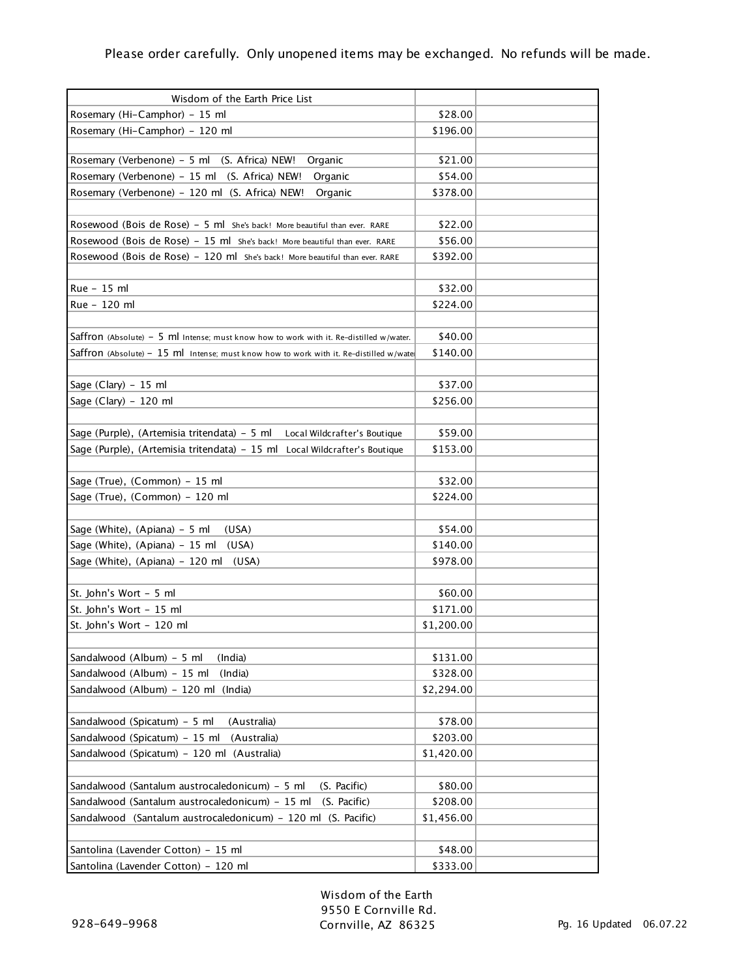| Wisdom of the Earth Price List                                                               |            |  |
|----------------------------------------------------------------------------------------------|------------|--|
| Rosemary (Hi-Camphor) - 15 ml                                                                | \$28.00    |  |
| Rosemary (Hi-Camphor) - 120 ml                                                               | \$196.00   |  |
|                                                                                              |            |  |
| Rosemary (Verbenone) - 5 ml (S. Africa) NEW!<br>Organic                                      | \$21.00    |  |
| Rosemary (Verbenone) - 15 ml (S. Africa) NEW!<br>Organic                                     | \$54.00    |  |
| Rosemary (Verbenone) - 120 ml (S. Africa) NEW!<br>Organic                                    | \$378.00   |  |
|                                                                                              |            |  |
| Rosewood (Bois de Rose) - 5 ml She's back! More beautiful than ever. RARE                    | \$22.00    |  |
| Rosewood (Bois de Rose) - 15 ml She's back! More beautiful than ever. RARE                   | \$56.00    |  |
| Rosewood (Bois de Rose) - 120 ml she's back! More beautiful than ever. RARE                  | \$392.00   |  |
|                                                                                              |            |  |
| Rue - 15 ml                                                                                  | \$32.00    |  |
| Rue - 120 ml                                                                                 | \$224.00   |  |
|                                                                                              |            |  |
| Saffron (Absolute) - 5 $\,$ ml Intense; must know how to work with it. Re-distilled w/water. | \$40.00    |  |
| Saffron (Absolute) - $15$ ml Intense; must know how to work with it. Re-distilled w/water    | \$140.00   |  |
|                                                                                              |            |  |
| Sage (Clary) $-15$ ml                                                                        | \$37.00    |  |
| Sage (Clary) - 120 ml                                                                        | \$256.00   |  |
|                                                                                              |            |  |
| Sage (Purple), (Artemisia tritendata) - 5 ml Local Wildcrafter's Boutique                    | \$59.00    |  |
| Sage (Purple), (Artemisia tritendata) - 15 ml Local Wildcrafter's Boutique                   | \$153.00   |  |
|                                                                                              |            |  |
| Sage (True), (Common) - 15 ml                                                                | \$32.00    |  |
| Sage (True), (Common) - 120 ml                                                               | \$224.00   |  |
|                                                                                              |            |  |
| Sage (White), (Apiana) - 5 ml<br>(USA)                                                       | \$54.00    |  |
| Sage (White), (Apiana) - 15 ml<br>(USA)                                                      | \$140.00   |  |
| Sage (White), (Apiana) - 120 ml<br>(USA)                                                     | \$978.00   |  |
|                                                                                              |            |  |
| St. John's Wort - 5 ml                                                                       | \$60.00    |  |
| St. John's Wort - 15 ml                                                                      | \$171.00   |  |
| St. John's Wort - 120 ml                                                                     | \$1,200.00 |  |
|                                                                                              |            |  |
| Sandalwood (Album) - 5 ml<br>(India)                                                         | \$131.00   |  |
| Sandalwood (Album) - 15 ml<br>(India)                                                        | \$328.00   |  |
| Sandalwood (Album) - 120 ml (India)                                                          | \$2,294.00 |  |
|                                                                                              |            |  |
| Sandalwood (Spicatum) - 5 ml<br>(Australia)                                                  | \$78.00    |  |
| Sandalwood (Spicatum) - 15 ml<br>(Australia)                                                 | \$203.00   |  |
| Sandalwood (Spicatum) – 120 ml (Australia)                                                   | \$1,420.00 |  |
|                                                                                              |            |  |
| Sandalwood (Santalum austrocaledonicum) - 5 ml<br>(S. Pacific)                               | \$80.00    |  |
| Sandalwood (Santalum austrocaledonicum) - 15 ml<br>(S. Pacific)                              | \$208.00   |  |
| Sandalwood (Santalum austrocaledonicum) - 120 ml (S. Pacific)                                | \$1,456.00 |  |
|                                                                                              |            |  |
| Santolina (Lavender Cotton) - 15 ml                                                          | \$48.00    |  |
| Santolina (Lavender Cotton) - 120 ml                                                         | \$333.00   |  |

Wisdom of the Earth 9550 E Cornville Rd. Cornville, AZ 86325 Pg. 16 Updated 06.07.22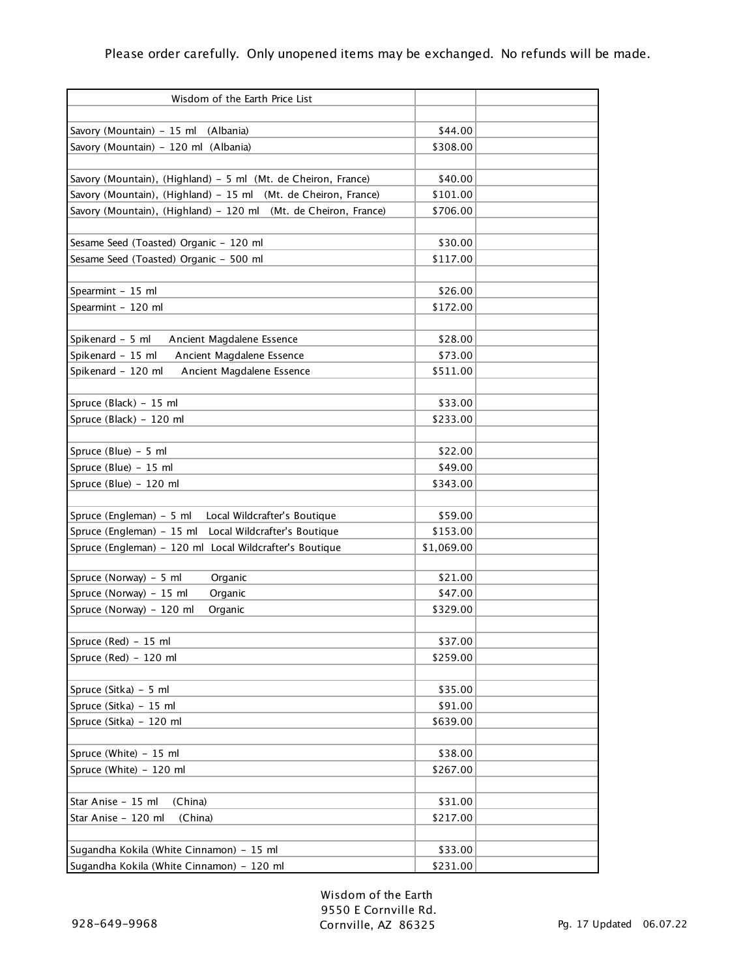| Wisdom of the Earth Price List                                  |                     |  |
|-----------------------------------------------------------------|---------------------|--|
|                                                                 |                     |  |
| Savory (Mountain) - 15 ml<br>(Albania)                          | \$44.00             |  |
| Savory (Mountain) - 120 ml (Albania)                            | \$308.00            |  |
| Savory (Mountain), (Highland) - 5 ml (Mt. de Cheiron, France)   | \$40.00             |  |
| Savory (Mountain), (Highland) - 15 ml (Mt. de Cheiron, France)  | \$101.00            |  |
| Savory (Mountain), (Highland) - 120 ml (Mt. de Cheiron, France) | \$706.00            |  |
|                                                                 |                     |  |
| Sesame Seed (Toasted) Organic - 120 ml                          | \$30.00             |  |
| Sesame Seed (Toasted) Organic - 500 ml                          | \$117.00            |  |
|                                                                 |                     |  |
| Spearmint - 15 ml                                               | \$26.00             |  |
| Spearmint - 120 ml                                              | \$172.00            |  |
|                                                                 |                     |  |
| Spikenard - 5 ml<br>Ancient Magdalene Essence                   | \$28.00             |  |
| Spikenard - 15 ml<br>Ancient Magdalene Essence                  | \$73.00             |  |
| Spikenard - 120 ml<br>Ancient Magdalene Essence                 | \$511.00            |  |
|                                                                 |                     |  |
| Spruce (Black) - 15 ml                                          | \$33.00             |  |
| Spruce (Black) - 120 ml                                         | \$233.00            |  |
|                                                                 |                     |  |
| Spruce (Blue) - 5 ml                                            | \$22.00             |  |
| Spruce (Blue) - 15 ml                                           | \$49.00             |  |
| Spruce (Blue) - 120 ml                                          | \$343.00            |  |
|                                                                 |                     |  |
| Spruce (Engleman) - 5 ml<br>Local Wildcrafter's Boutique        | \$59.00             |  |
| Spruce (Engleman) - 15 ml<br>Local Wildcrafter's Boutique       | \$153.00            |  |
| Spruce (Engleman) - 120 ml Local Wildcrafter's Boutique         | \$1,069.00          |  |
|                                                                 |                     |  |
| Spruce (Norway) - 5 ml<br>Organic                               | \$21.00             |  |
| Spruce (Norway) - 15 ml<br>Organic                              | \$47.00             |  |
| Spruce (Norway) - 120 ml<br>Organic                             | \$329.00            |  |
|                                                                 |                     |  |
| Spruce (Red) - 15 ml                                            | \$37.00             |  |
| Spruce (Red) - 120 ml                                           | \$259.00            |  |
|                                                                 |                     |  |
| Spruce (Sitka) – 5 ml                                           | \$35.00             |  |
| Spruce (Sitka) - 15 ml                                          | \$91.00             |  |
| Spruce (Sitka) - 120 ml                                         | \$639.00            |  |
|                                                                 |                     |  |
| Spruce (White) - 15 ml<br>Spruce (White) - 120 ml               | \$38.00<br>\$267.00 |  |
|                                                                 |                     |  |
| Star Anise - 15 ml<br>(China)                                   | \$31.00             |  |
| Star Anise - 120 ml<br>(China)                                  | \$217.00            |  |
|                                                                 |                     |  |
| Sugandha Kokila (White Cinnamon) - 15 ml                        | \$33.00             |  |
| Sugandha Kokila (White Cinnamon) - 120 ml                       | \$231.00            |  |
|                                                                 |                     |  |

Wisdom of the Earth 9550 E Cornville Rd. Cornville, AZ 86325 Pg. 17 Updated 06.07.22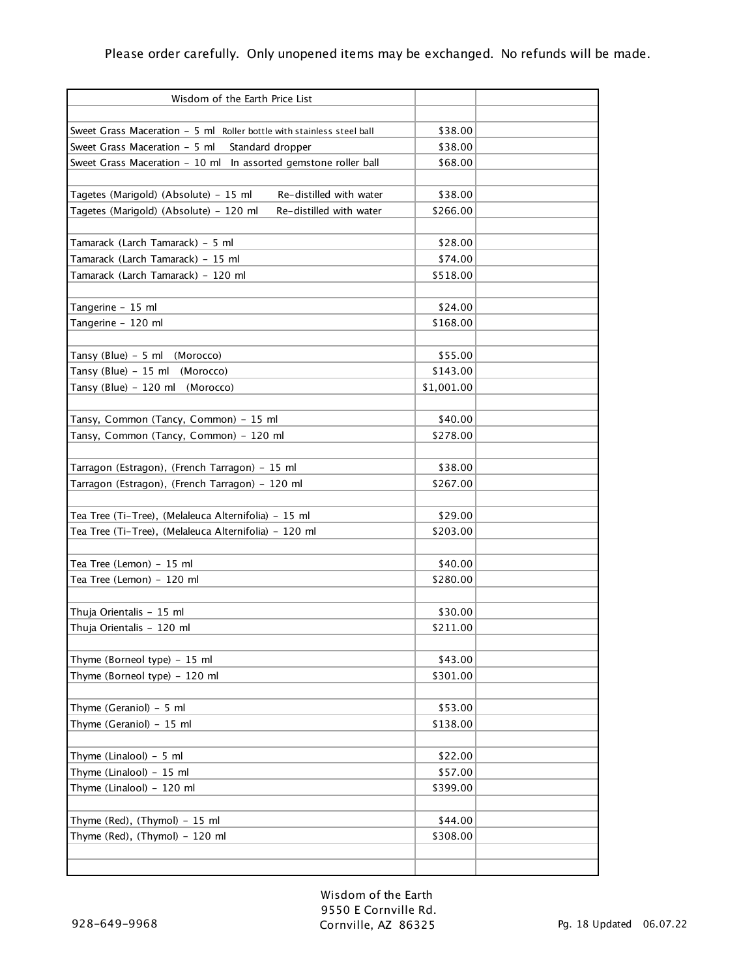| Wisdom of the Earth Price List                                                                    |            |  |
|---------------------------------------------------------------------------------------------------|------------|--|
|                                                                                                   |            |  |
| Sweet Grass Maceration - 5 ml Roller bottle with stainless steel ball                             | \$38.00    |  |
| Sweet Grass Maceration - 5 ml<br>Standard dropper                                                 | \$38.00    |  |
| Sweet Grass Maceration - 10 ml In assorted gemstone roller ball                                   | \$68.00    |  |
| Tagetes (Marigold) (Absolute) - 15 ml<br>Re-distilled with water                                  | \$38.00    |  |
| Tagetes (Marigold) (Absolute) - 120 ml<br>Re-distilled with water                                 | \$266.00   |  |
|                                                                                                   |            |  |
| Tamarack (Larch Tamarack) - 5 ml                                                                  | \$28.00    |  |
| Tamarack (Larch Tamarack) - 15 ml                                                                 | \$74.00    |  |
| Tamarack (Larch Tamarack) - 120 ml                                                                | \$518.00   |  |
|                                                                                                   |            |  |
| Tangerine - 15 ml                                                                                 | \$24.00    |  |
| Tangerine - 120 ml                                                                                | \$168.00   |  |
|                                                                                                   |            |  |
| Tansy (Blue) - 5 ml (Morocco)                                                                     | \$55.00    |  |
| Tansy (Blue) - $15$ ml<br>(Morocco)                                                               | \$143.00   |  |
| Tansy (Blue) - 120 ml<br>(Morocco)                                                                | \$1,001.00 |  |
|                                                                                                   |            |  |
| Tansy, Common (Tancy, Common) - 15 ml                                                             | \$40.00    |  |
| Tansy, Common (Tancy, Common) - 120 ml                                                            | \$278.00   |  |
|                                                                                                   | \$38.00    |  |
| Tarragon (Estragon), (French Tarragon) - 15 ml<br>Tarragon (Estragon), (French Tarragon) - 120 ml | \$267.00   |  |
|                                                                                                   |            |  |
| Tea Tree (Ti-Tree), (Melaleuca Alternifolia) - 15 ml                                              | \$29.00    |  |
| Tea Tree (Ti-Tree), (Melaleuca Alternifolia) - 120 ml                                             | \$203.00   |  |
|                                                                                                   |            |  |
| Tea Tree (Lemon) - 15 ml                                                                          | \$40.00    |  |
| Tea Tree (Lemon) - 120 ml                                                                         | \$280.00   |  |
|                                                                                                   |            |  |
| Thuja Orientalis - 15 ml                                                                          | \$30.00    |  |
| Thuja Orientalis - 120 ml                                                                         | \$211.00   |  |
|                                                                                                   |            |  |
| Thyme (Borneol type) - 15 ml                                                                      | \$43.00    |  |
| Thyme (Borneol type) - 120 ml                                                                     | \$301.00   |  |
|                                                                                                   |            |  |
| Thyme (Geraniol) - 5 ml                                                                           | \$53.00    |  |
| Thyme (Geraniol) - 15 ml                                                                          | \$138.00   |  |
|                                                                                                   |            |  |
| Thyme (Linalool) - 5 ml                                                                           | \$22.00    |  |
| Thyme (Linalool) - 15 ml                                                                          | \$57.00    |  |
| Thyme (Linalool) - 120 ml                                                                         | \$399.00   |  |
|                                                                                                   |            |  |
| Thyme (Red), (Thymol) - 15 ml                                                                     | \$44.00    |  |
| Thyme (Red), (Thymol) - 120 ml                                                                    | \$308.00   |  |
|                                                                                                   |            |  |
|                                                                                                   |            |  |

Wisdom of the Earth 9550 E Cornville Rd. Cornville, AZ 86325 Pg. 18 Updated 06.07.22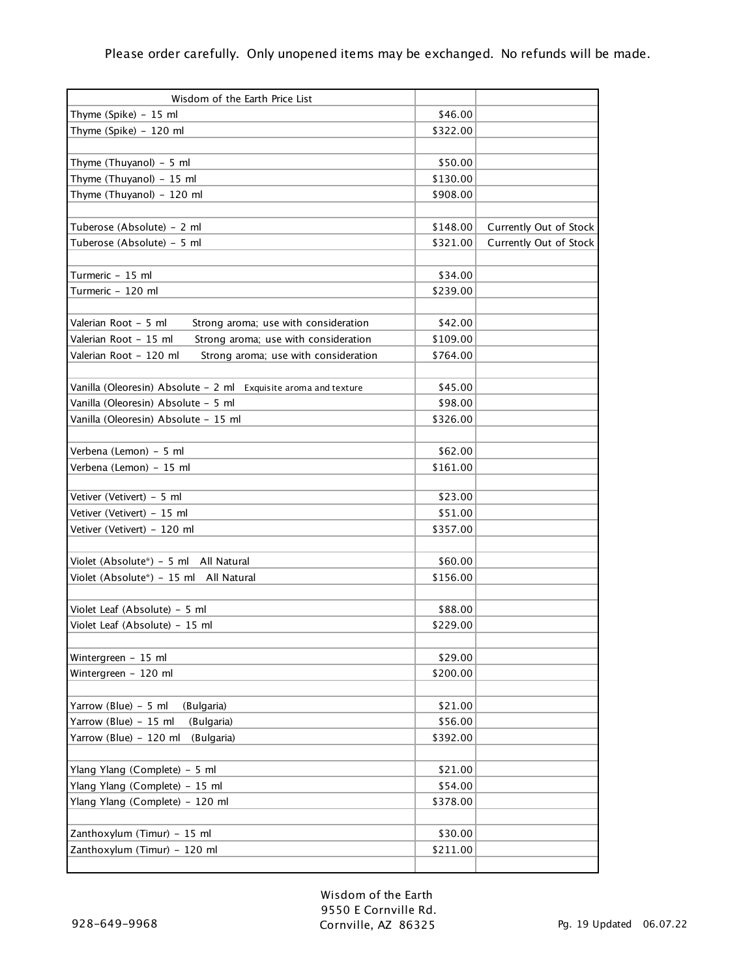| Wisdom of the Earth Price List                                  |          |                        |
|-----------------------------------------------------------------|----------|------------------------|
| Thyme (Spike) - 15 ml                                           | \$46.00  |                        |
| Thyme (Spike) - 120 ml                                          | \$322.00 |                        |
|                                                                 |          |                        |
| Thyme (Thuyanol) $-5$ ml                                        | \$50.00  |                        |
| Thyme (Thuyanol) - 15 ml                                        | \$130.00 |                        |
| Thyme (Thuyanol) - 120 ml                                       | \$908.00 |                        |
|                                                                 |          |                        |
| Tuberose (Absolute) - 2 ml                                      | \$148.00 | Currently Out of Stock |
| Tuberose (Absolute) - 5 ml                                      | \$321.00 | Currently Out of Stock |
|                                                                 |          |                        |
| Turmeric - 15 ml                                                | \$34.00  |                        |
| Turmeric - 120 ml                                               | \$239.00 |                        |
|                                                                 |          |                        |
| Strong aroma; use with consideration<br>Valerian Root - 5 ml    | \$42.00  |                        |
| Valerian Root - 15 ml<br>Strong aroma; use with consideration   | \$109.00 |                        |
| Valerian Root - 120 ml<br>Strong aroma; use with consideration  | \$764.00 |                        |
|                                                                 |          |                        |
| Vanilla (Oleoresin) Absolute - 2 ml Exquisite aroma and texture | \$45.00  |                        |
| Vanilla (Oleoresin) Absolute - 5 ml                             | \$98.00  |                        |
| Vanilla (Oleoresin) Absolute - 15 ml                            | \$326.00 |                        |
|                                                                 |          |                        |
| Verbena (Lemon) - 5 ml                                          | \$62.00  |                        |
| Verbena (Lemon) - 15 ml                                         | \$161.00 |                        |
|                                                                 |          |                        |
| Vetiver (Vetivert) - 5 ml                                       | \$23.00  |                        |
| Vetiver (Vetivert) - 15 ml                                      | \$51.00  |                        |
| Vetiver (Vetivert) - 120 ml                                     | \$357.00 |                        |
|                                                                 |          |                        |
| Violet (Absolute*) - 5 ml All Natural                           | \$60.00  |                        |
| Violet (Absolute*) - 15 ml All Natural                          | \$156.00 |                        |
|                                                                 |          |                        |
| Violet Leaf (Absolute) - 5 ml                                   | \$88.00  |                        |
| Violet Leaf (Absolute) - 15 ml                                  | \$229.00 |                        |
|                                                                 |          |                        |
| Wintergreen - 15 ml                                             | \$29.00  |                        |
| Wintergreen - 120 ml                                            | \$200.00 |                        |
| Yarrow (Blue) - 5 ml<br>(Bulgaria)                              | \$21.00  |                        |
| Yarrow (Blue) - 15 ml<br>(Bulgaria)                             | \$56.00  |                        |
| Yarrow (Blue) - 120 ml<br>(Bulgaria)                            | \$392.00 |                        |
|                                                                 |          |                        |
| Ylang Ylang (Complete) - 5 ml                                   | \$21.00  |                        |
| Ylang Ylang (Complete) - 15 ml                                  | \$54.00  |                        |
| Ylang Ylang (Complete) - 120 ml                                 | \$378.00 |                        |
|                                                                 |          |                        |
| Zanthoxylum (Timur) - 15 ml                                     | \$30.00  |                        |
| Zanthoxylum (Timur) - 120 ml                                    | \$211.00 |                        |
|                                                                 |          |                        |

Wisdom of the Earth 9550 E Cornville Rd. Cornville, AZ 86325 Pg. 19 Updated 06.07.22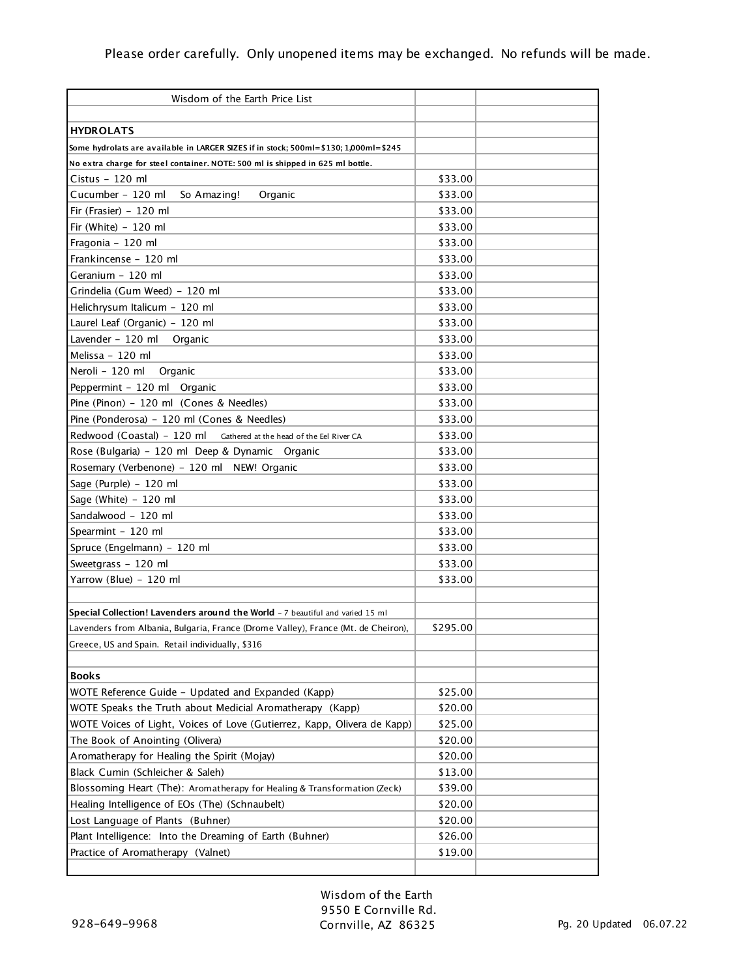| Wisdom of the Earth Price List                                                       |          |  |
|--------------------------------------------------------------------------------------|----------|--|
|                                                                                      |          |  |
| <b>HYDROLATS</b>                                                                     |          |  |
| Some hydrolats are available in LARGER SIZES if in stock; 500ml=\$130; 1,000ml=\$245 |          |  |
| No extra charge for steel container. NOTE: 500 ml is shipped in 625 ml bottle.       |          |  |
| Cistus - 120 ml                                                                      | \$33.00  |  |
| Cucumber - 120 ml<br>So Amazing!<br>Organic                                          | \$33.00  |  |
| Fir (Frasier) - 120 ml                                                               | \$33.00  |  |
| Fir (White) $-120$ ml                                                                | \$33.00  |  |
| Fragonia - 120 ml                                                                    | \$33.00  |  |
| Frankincense - 120 ml                                                                | \$33.00  |  |
| Geranium - 120 ml                                                                    | \$33.00  |  |
| Grindelia (Gum Weed) - 120 ml                                                        | \$33.00  |  |
| Helichrysum Italicum - 120 ml                                                        | \$33.00  |  |
| Laurel Leaf (Organic) - 120 ml                                                       | \$33.00  |  |
| Lavender - 120 ml<br>Organic                                                         | \$33.00  |  |
| Melissa - 120 ml                                                                     | \$33.00  |  |
| Neroli - 120 ml<br>Organic                                                           | \$33.00  |  |
| Peppermint - 120 ml Organic                                                          | \$33.00  |  |
| Pine (Pinon) - 120 ml (Cones & Needles)                                              | \$33.00  |  |
| Pine (Ponderosa) - 120 ml (Cones & Needles)                                          | \$33.00  |  |
| Redwood (Coastal) - 120 ml Gathered at the head of the Eel River CA                  | \$33.00  |  |
| Rose (Bulgaria) - 120 ml Deep & Dynamic Organic                                      | \$33.00  |  |
| Rosemary (Verbenone) - 120 ml NEW! Organic                                           | \$33.00  |  |
| Sage (Purple) - 120 ml                                                               | \$33.00  |  |
| Sage (White) - 120 ml                                                                | \$33.00  |  |
| Sandalwood - 120 ml                                                                  | \$33.00  |  |
| Spearmint - 120 ml                                                                   | \$33.00  |  |
| Spruce (Engelmann) - 120 ml                                                          | \$33.00  |  |
| Sweetgrass - 120 ml                                                                  | \$33.00  |  |
| Yarrow (Blue) - 120 ml                                                               | \$33.00  |  |
|                                                                                      |          |  |
| Special Collection! Lavenders around the World - 7 beautiful and varied 15 ml        |          |  |
| Lavenders from Albania, Bulgaria, France (Drome Valley), France (Mt. de Cheiron),    | \$295.00 |  |
| Greece, US and Spain.  Retail individually, \$316                                    |          |  |
|                                                                                      |          |  |
| <b>Books</b>                                                                         |          |  |
| WOTE Reference Guide - Updated and Expanded (Kapp)                                   | \$25.00  |  |
| WOTE Speaks the Truth about Medicial Aromatherapy (Kapp)                             | \$20.00  |  |
| WOTE Voices of Light, Voices of Love (Gutierrez, Kapp, Olivera de Kapp)              | \$25.00  |  |
| The Book of Anointing (Olivera)                                                      | \$20.00  |  |
| Aromatherapy for Healing the Spirit (Mojay)                                          | \$20.00  |  |
| Black Cumin (Schleicher & Saleh)                                                     | \$13.00  |  |
| Blossoming Heart (The): Aromatherapy for Healing & Transformation (Zeck)             | \$39.00  |  |
| Healing Intelligence of EOs (The) (Schnaubelt)                                       | \$20.00  |  |
| Lost Language of Plants (Buhner)                                                     | \$20.00  |  |
| Plant Intelligence: Into the Dreaming of Earth (Buhner)                              | \$26.00  |  |
| Practice of Aromatherapy (Valnet)                                                    | \$19.00  |  |
|                                                                                      |          |  |

Wisdom of the Earth 9550 E Cornville Rd. Cornville, AZ 86325 Pg. 20 Updated 06.07.22